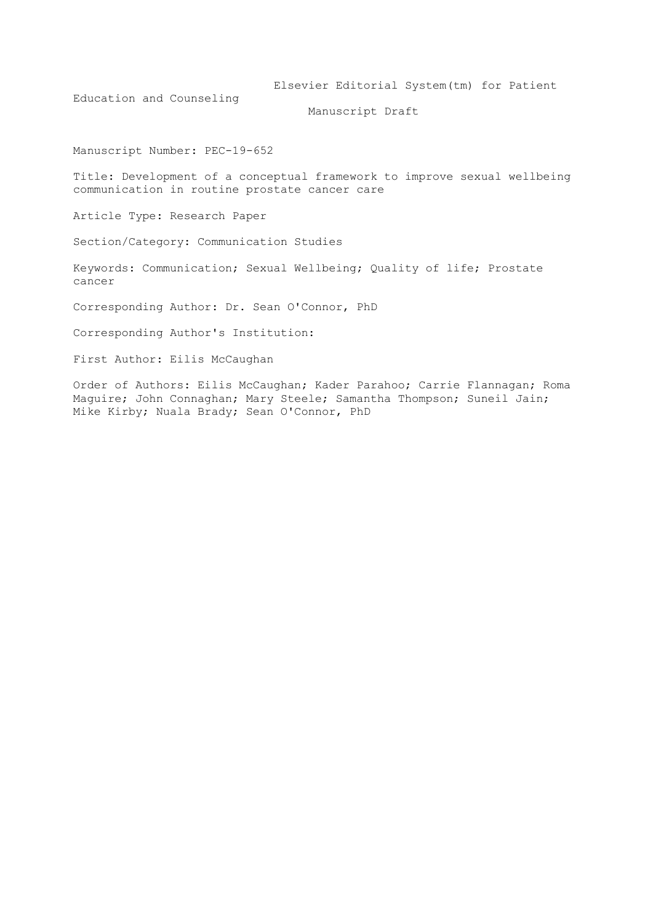Elsevier Editorial System(tm) for Patient

Education and Counseling

Manuscript Draft

Manuscript Number: PEC-19-652

Title: Development of a conceptual framework to improve sexual wellbeing communication in routine prostate cancer care

Article Type: Research Paper

Section/Category: Communication Studies

Keywords: Communication; Sexual Wellbeing; Quality of life; Prostate cancer

Corresponding Author: Dr. Sean O'Connor, PhD

Corresponding Author's Institution:

First Author: Eilis McCaughan

Order of Authors: Eilis McCaughan; Kader Parahoo; Carrie Flannagan; Roma Maguire; John Connaghan; Mary Steele; Samantha Thompson; Suneil Jain; Mike Kirby; Nuala Brady; Sean O'Connor, PhD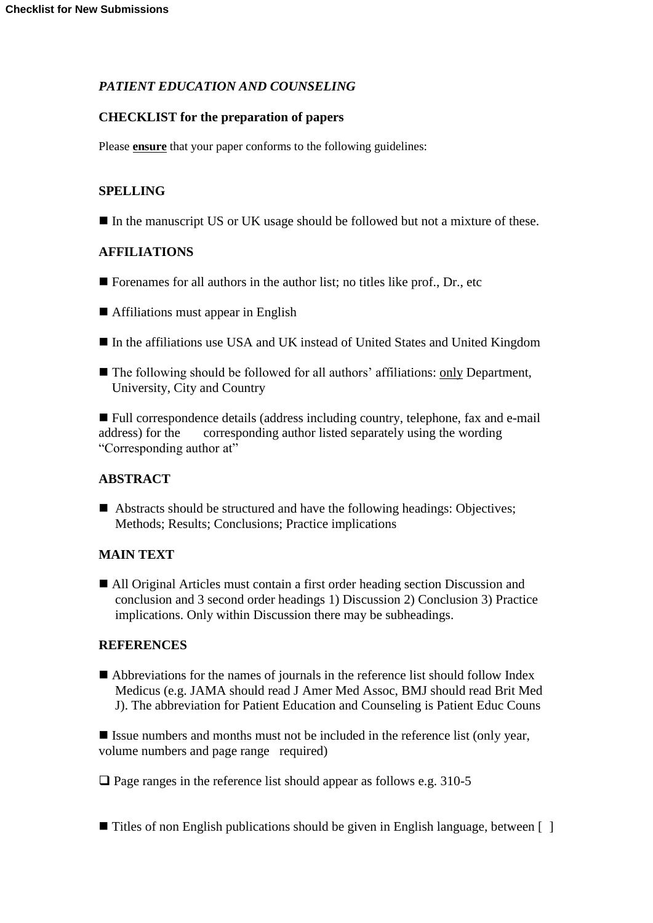# *PATIENT EDUCATION AND COUNSELING*

### **CHECKLIST for the preparation of papers**

Please **ensure** that your paper conforms to the following guidelines:

### **SPELLING**

 $\blacksquare$  In the manuscript US or UK usage should be followed but not a mixture of these.

### **AFFILIATIONS**

- $\blacksquare$  Forenames for all authors in the author list; no titles like prof., Dr., etc
- Affiliations must appear in English
- In the affiliations use USA and UK instead of United States and United Kingdom
- The following should be followed for all authors' affiliations: only Department, University, City and Country

 Full correspondence details (address including country, telephone, fax and e-mail address) for the corresponding author listed separately using the wording "Corresponding author at"

### **ABSTRACT**

Abstracts should be structured and have the following headings: Objectives; Methods; Results; Conclusions; Practice implications

### **MAIN TEXT**

 All Original Articles must contain a first order heading section Discussion and conclusion and 3 second order headings 1) Discussion 2) Conclusion 3) Practice implications. Only within Discussion there may be subheadings.

### **REFERENCES**

 Abbreviations for the names of journals in the reference list should follow Index Medicus (e.g. JAMA should read J Amer Med Assoc, BMJ should read Brit Med J). The abbreviation for Patient Education and Counseling is Patient Educ Couns

If Issue numbers and months must not be included in the reference list (only year, volume numbers and page range required)

 $\Box$  Page ranges in the reference list should appear as follows e.g. 310-5

 $\blacksquare$  Titles of non English publications should be given in English language, between [ ]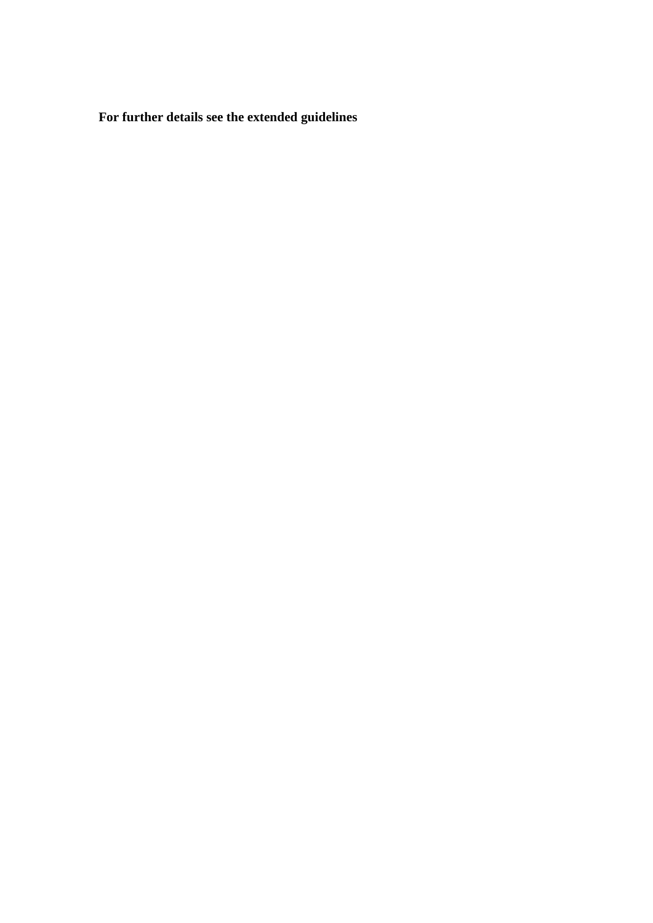**For further details see the extended guidelines**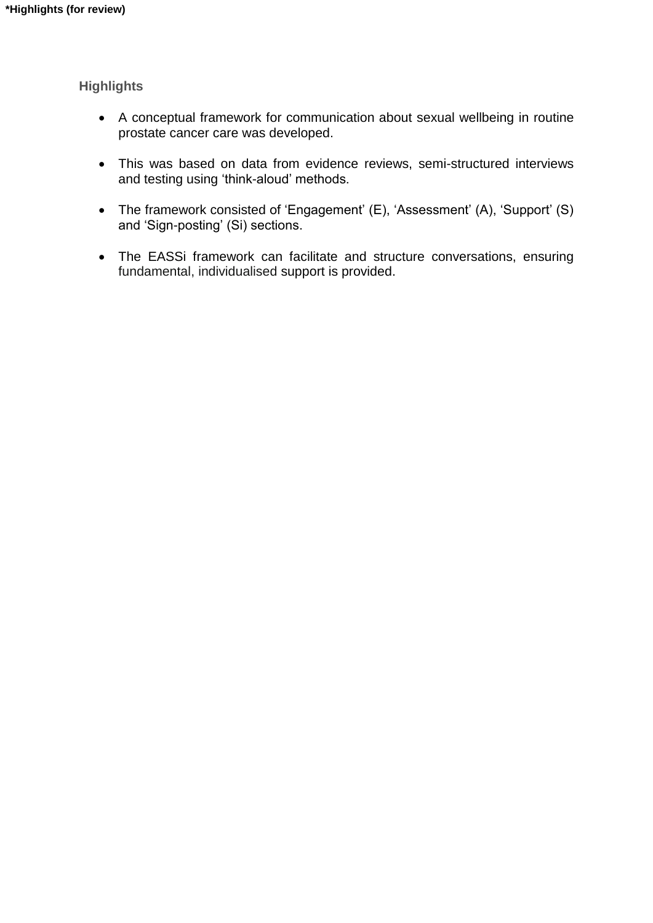# **Highlights**

- A conceptual framework for communication about sexual wellbeing in routine prostate cancer care was developed.
- This was based on data from evidence reviews, semi-structured interviews and testing using 'think-aloud' methods.
- The framework consisted of 'Engagement' (E), 'Assessment' (A), 'Support' (S) and 'Sign-posting' (Si) sections.
- The EASSi framework can facilitate and structure conversations, ensuring fundamental, individualised support is provided.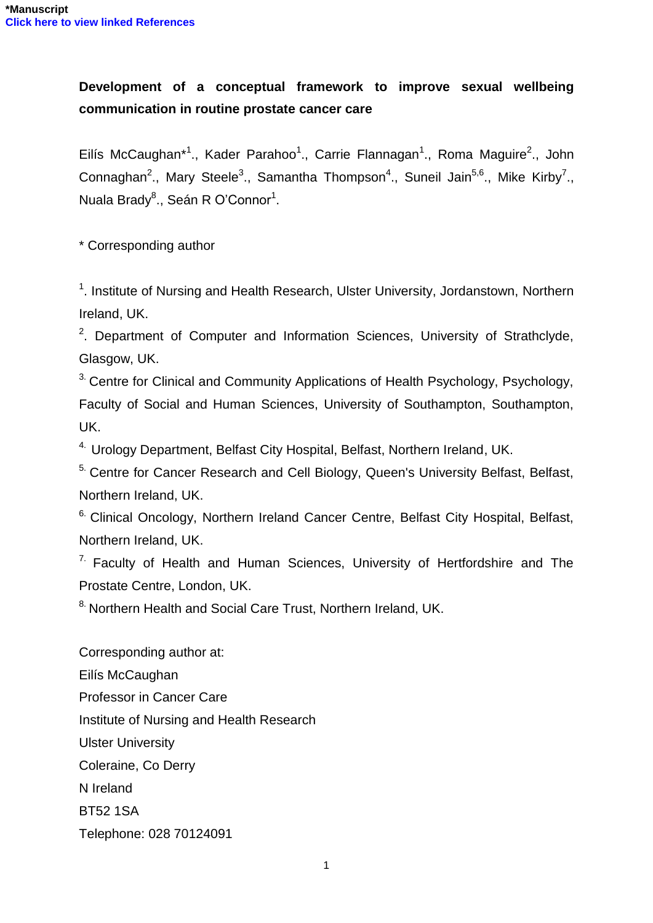# **Development of a conceptual framework to improve sexual wellbeing communication in routine prostate cancer care**

Eilís McCaughan<sup>\*1</sup>., Kader Parahoo<sup>1</sup>., Carrie Flannagan<sup>1</sup>., Roma Maguire<sup>2</sup>., John Connaghan<sup>2</sup>., Mary Steele<sup>3</sup>., Samantha Thompson<sup>4</sup>., Suneil Jain<sup>5,6</sup>., Mike Kirby<sup>7</sup>., Nuala Brady<sup>8</sup>., Seán R O'Connor<sup>1</sup>.

\* Corresponding author

<sup>1</sup>. Institute of Nursing and Health Research, Ulster University, Jordanstown, Northern Ireland, UK.

<sup>2</sup>. Department of Computer and Information Sciences, University of Strathclyde, Glasgow, UK.

<sup>3.</sup> Centre for Clinical and Community Applications of Health Psychology, Psychology, Faculty of Social and Human Sciences, University of Southampton, Southampton, UK.

4. Urology Department, Belfast City Hospital, Belfast, Northern Ireland, UK.

<sup>5.</sup> Centre for Cancer Research and Cell Biology, Queen's University Belfast, Belfast, Northern Ireland, UK.

<sup>6.</sup> Clinical Oncology, Northern Ireland Cancer Centre, Belfast City Hospital, Belfast, Northern Ireland, UK.

 $7.$  Faculty of Health and Human Sciences, University of Hertfordshire and The Prostate Centre, London, UK.

<sup>8.</sup> Northern Health and Social Care Trust, Northern Ireland, UK.

Corresponding author at: Eilís McCaughan Professor in Cancer Care Institute of Nursing and Health Research Ulster University Coleraine, Co Derry N Ireland BT52 1SA Telephone: 028 70124091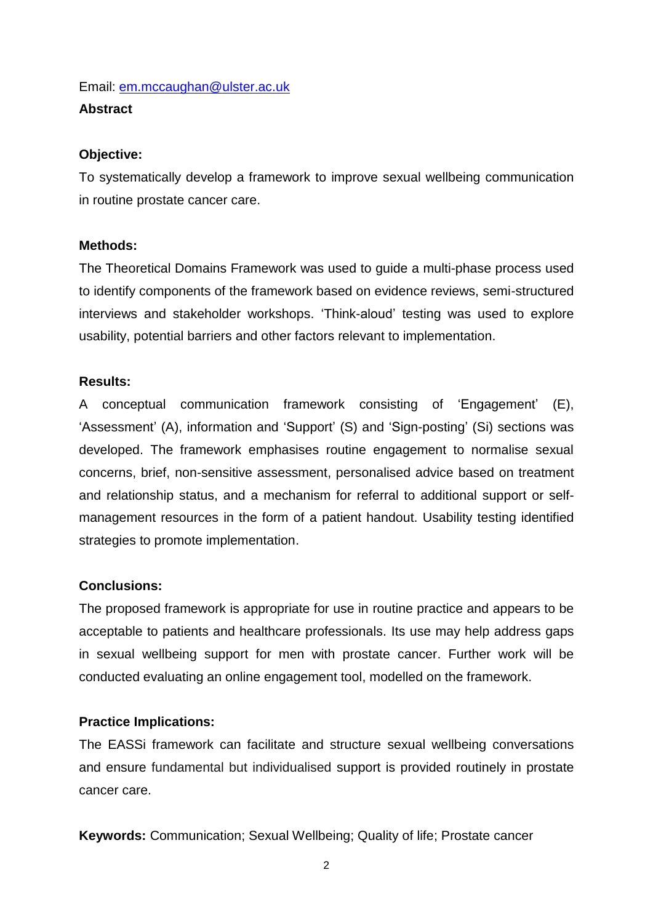# Email: [em.mccaughan@ulster.ac.uk](mailto:em.mccaughan@ulster.ac.uk)

# **Abstract**

# **Objective:**

To systematically develop a framework to improve sexual wellbeing communication in routine prostate cancer care.

# **Methods:**

The Theoretical Domains Framework was used to guide a multi-phase process used to identify components of the framework based on evidence reviews, semi-structured interviews and stakeholder workshops. 'Think-aloud' testing was used to explore usability, potential barriers and other factors relevant to implementation.

### **Results:**

A conceptual communication framework consisting of 'Engagement' (E), 'Assessment' (A), information and 'Support' (S) and 'Sign-posting' (Si) sections was developed. The framework emphasises routine engagement to normalise sexual concerns, brief, non-sensitive assessment, personalised advice based on treatment and relationship status, and a mechanism for referral to additional support or selfmanagement resources in the form of a patient handout. Usability testing identified strategies to promote implementation.

# **Conclusions:**

The proposed framework is appropriate for use in routine practice and appears to be acceptable to patients and healthcare professionals. Its use may help address gaps in sexual wellbeing support for men with prostate cancer. Further work will be conducted evaluating an online engagement tool, modelled on the framework.

# **Practice Implications:**

The EASSi framework can facilitate and structure sexual wellbeing conversations and ensure fundamental but individualised support is provided routinely in prostate cancer care.

**Keywords:** Communication; Sexual Wellbeing; Quality of life; Prostate cancer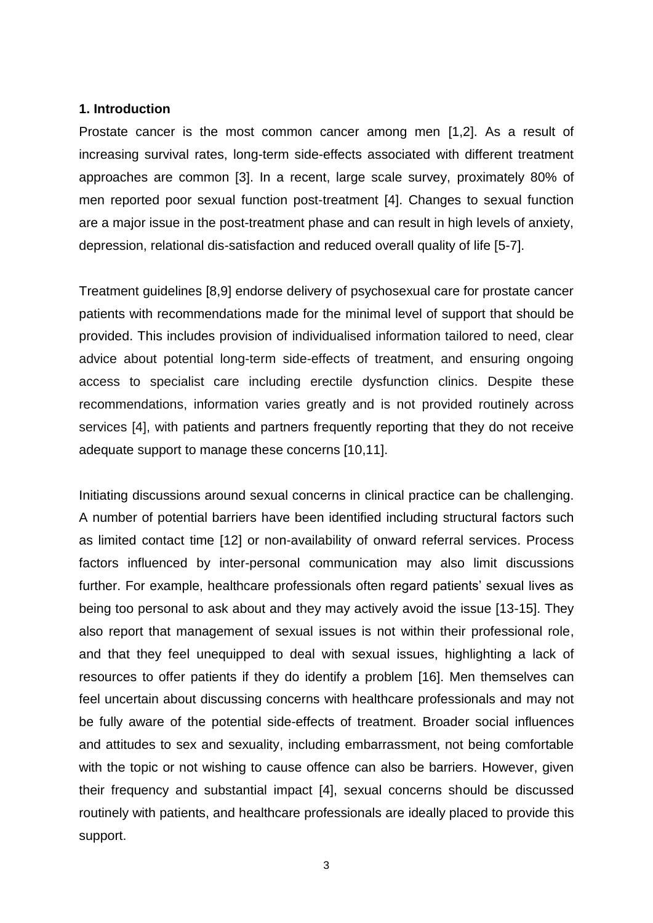### **1. Introduction**

Prostate cancer is the most common cancer among men [1,2]. As a result of increasing survival rates, long-term side-effects associated with different treatment approaches are common [3]. In a recent, large scale survey, proximately 80% of men reported poor sexual function post-treatment [4]. Changes to sexual function are a major issue in the post-treatment phase and can result in high levels of anxiety, depression, relational dis-satisfaction and reduced overall quality of life [5-7].

Treatment guidelines [8,9] endorse delivery of psychosexual care for prostate cancer patients with recommendations made for the minimal level of support that should be provided. This includes provision of individualised information tailored to need, clear advice about potential long-term side-effects of treatment, and ensuring ongoing access to specialist care including erectile dysfunction clinics. Despite these recommendations, information varies greatly and is not provided routinely across services [4], with patients and partners frequently reporting that they do not receive adequate support to manage these concerns [10,11].

Initiating discussions around sexual concerns in clinical practice can be challenging. A number of potential barriers have been identified including structural factors such as limited contact time [12] or non-availability of onward referral services. Process factors influenced by inter-personal communication may also limit discussions further. For example, healthcare professionals often regard patients' sexual lives as being too personal to ask about and they may actively avoid the issue [13-15]. They also report that management of sexual issues is not within their professional role, and that they feel unequipped to deal with sexual issues, highlighting a lack of resources to offer patients if they do identify a problem [16]. Men themselves can feel uncertain about discussing concerns with healthcare professionals and may not be fully aware of the potential side-effects of treatment. Broader social influences and attitudes to sex and sexuality, including embarrassment, not being comfortable with the topic or not wishing to cause offence can also be barriers. However, given their frequency and substantial impact [4], sexual concerns should be discussed routinely with patients, and healthcare professionals are ideally placed to provide this support.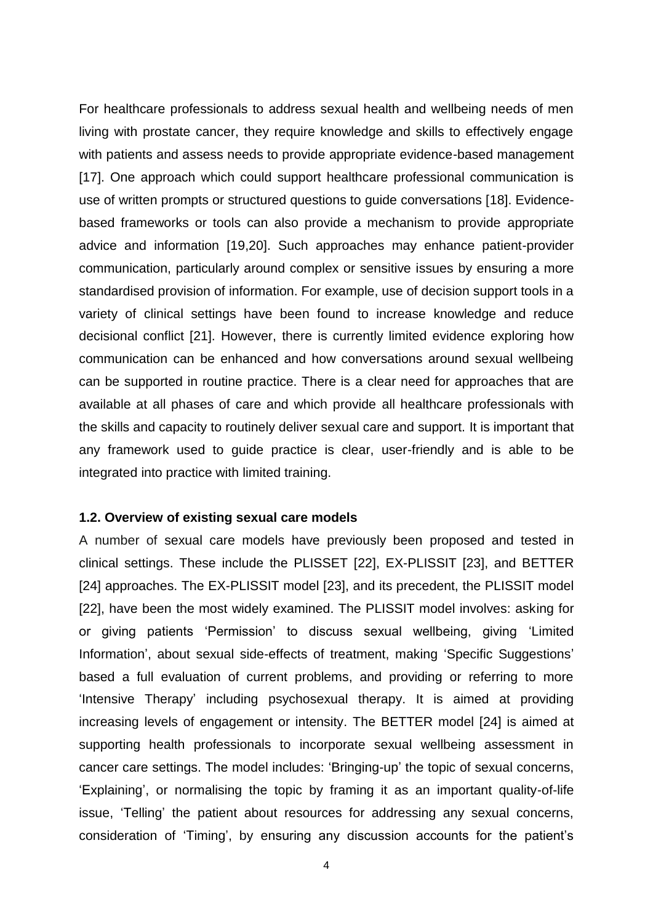For healthcare professionals to address sexual health and wellbeing needs of men living with prostate cancer, they require knowledge and skills to effectively engage with patients and assess needs to provide appropriate evidence-based management [17]. One approach which could support healthcare professional communication is use of written prompts or structured questions to guide conversations [18]. Evidencebased frameworks or tools can also provide a mechanism to provide appropriate advice and information [19,20]. Such approaches may enhance patient-provider communication, particularly around complex or sensitive issues by ensuring a more standardised provision of information. For example, use of decision support tools in a variety of clinical settings have been found to increase knowledge and reduce decisional conflict [21]. However, there is currently limited evidence exploring how communication can be enhanced and how conversations around sexual wellbeing can be supported in routine practice. There is a clear need for approaches that are available at all phases of care and which provide all healthcare professionals with the skills and capacity to routinely deliver sexual care and support. It is important that any framework used to guide practice is clear, user-friendly and is able to be integrated into practice with limited training.

### **1.2. Overview of existing sexual care models**

A number of sexual care models have previously been proposed and tested in clinical settings. These include the PLISSET [22], EX-PLISSIT [23], and BETTER [24] approaches. The EX-PLISSIT model [23], and its precedent, the PLISSIT model [22], have been the most widely examined. The PLISSIT model involves: asking for or giving patients 'Permission' to discuss sexual wellbeing, giving 'Limited Information', about sexual side-effects of treatment, making 'Specific Suggestions' based a full evaluation of current problems, and providing or referring to more 'Intensive Therapy' including psychosexual therapy. It is aimed at providing increasing levels of engagement or intensity. The BETTER model [24] is aimed at supporting health professionals to incorporate sexual wellbeing assessment in cancer care settings. The model includes: 'Bringing-up' the topic of sexual concerns, 'Explaining', or normalising the topic by framing it as an important quality-of-life issue, 'Telling' the patient about resources for addressing any sexual concerns, consideration of 'Timing', by ensuring any discussion accounts for the patient's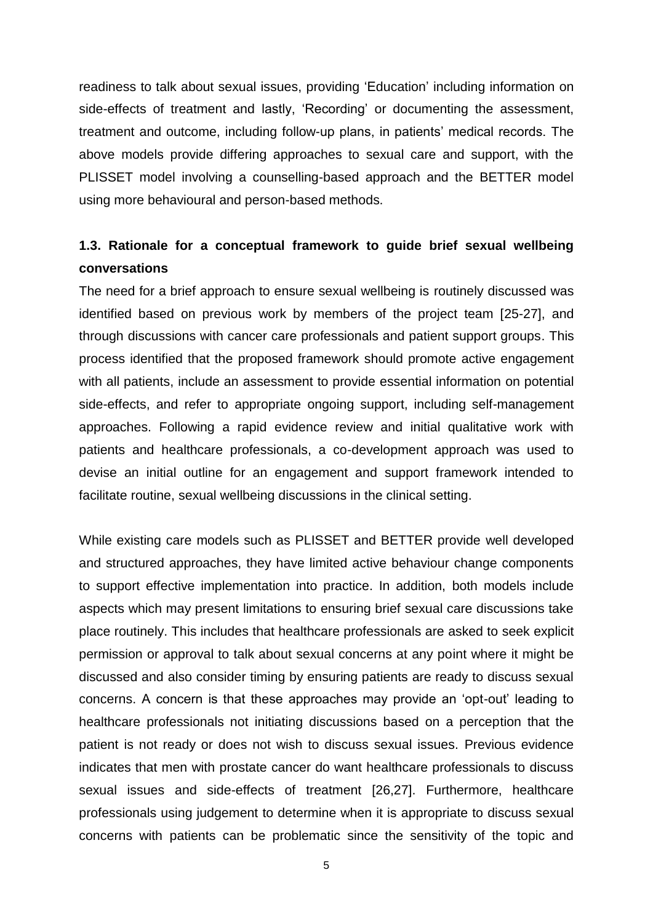readiness to talk about sexual issues, providing 'Education' including information on side-effects of treatment and lastly, 'Recording' or documenting the assessment, treatment and outcome, including follow-up plans, in patients' medical records. The above models provide differing approaches to sexual care and support, with the PLISSET model involving a counselling-based approach and the BETTER model using more behavioural and person-based methods.

# **1.3. Rationale for a conceptual framework to guide brief sexual wellbeing conversations**

The need for a brief approach to ensure sexual wellbeing is routinely discussed was identified based on previous work by members of the project team [25-27], and through discussions with cancer care professionals and patient support groups. This process identified that the proposed framework should promote active engagement with all patients, include an assessment to provide essential information on potential side-effects, and refer to appropriate ongoing support, including self-management approaches. Following a rapid evidence review and initial qualitative work with patients and healthcare professionals, a co-development approach was used to devise an initial outline for an engagement and support framework intended to facilitate routine, sexual wellbeing discussions in the clinical setting.

While existing care models such as PLISSET and BETTER provide well developed and structured approaches, they have limited active behaviour change components to support effective implementation into practice. In addition, both models include aspects which may present limitations to ensuring brief sexual care discussions take place routinely. This includes that healthcare professionals are asked to seek explicit permission or approval to talk about sexual concerns at any point where it might be discussed and also consider timing by ensuring patients are ready to discuss sexual concerns. A concern is that these approaches may provide an 'opt-out' leading to healthcare professionals not initiating discussions based on a perception that the patient is not ready or does not wish to discuss sexual issues. Previous evidence indicates that men with prostate cancer do want healthcare professionals to discuss sexual issues and side-effects of treatment [26,27]. Furthermore, healthcare professionals using judgement to determine when it is appropriate to discuss sexual concerns with patients can be problematic since the sensitivity of the topic and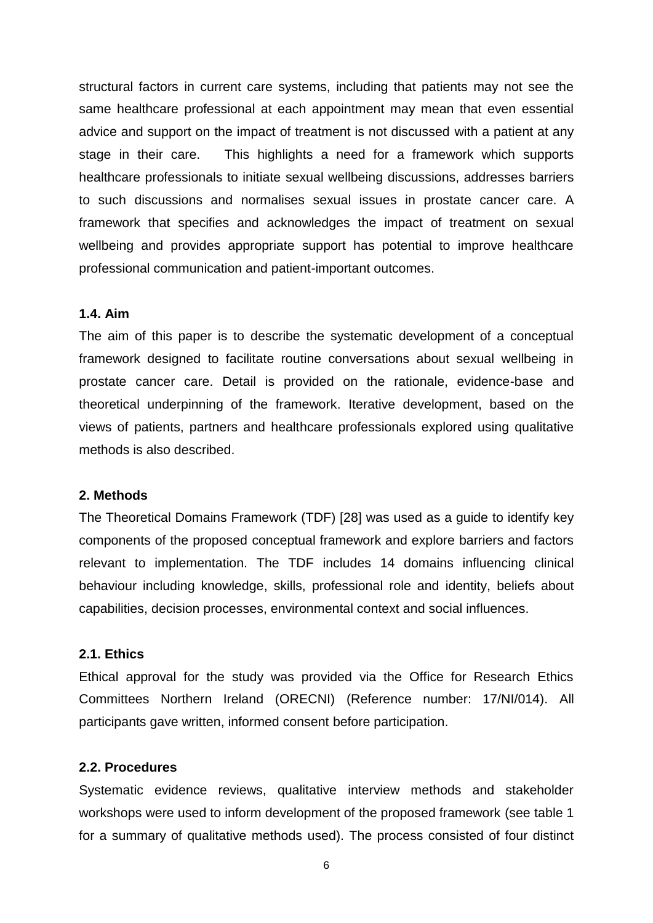structural factors in current care systems, including that patients may not see the same healthcare professional at each appointment may mean that even essential advice and support on the impact of treatment is not discussed with a patient at any stage in their care. This highlights a need for a framework which supports healthcare professionals to initiate sexual wellbeing discussions, addresses barriers to such discussions and normalises sexual issues in prostate cancer care. A framework that specifies and acknowledges the impact of treatment on sexual wellbeing and provides appropriate support has potential to improve healthcare professional communication and patient-important outcomes.

### **1.4. Aim**

The aim of this paper is to describe the systematic development of a conceptual framework designed to facilitate routine conversations about sexual wellbeing in prostate cancer care. Detail is provided on the rationale, evidence-base and theoretical underpinning of the framework. Iterative development, based on the views of patients, partners and healthcare professionals explored using qualitative methods is also described.

#### **2. Methods**

The Theoretical Domains Framework (TDF) [28] was used as a guide to identify key components of the proposed conceptual framework and explore barriers and factors relevant to implementation. The TDF includes 14 domains influencing clinical behaviour including knowledge, skills, professional role and identity, beliefs about capabilities, decision processes, environmental context and social influences.

### **2.1. Ethics**

Ethical approval for the study was provided via the Office for Research Ethics Committees Northern Ireland (ORECNI) (Reference number: 17/NI/014). All participants gave written, informed consent before participation.

### **2.2. Procedures**

Systematic evidence reviews, qualitative interview methods and stakeholder workshops were used to inform development of the proposed framework (see table 1 for a summary of qualitative methods used). The process consisted of four distinct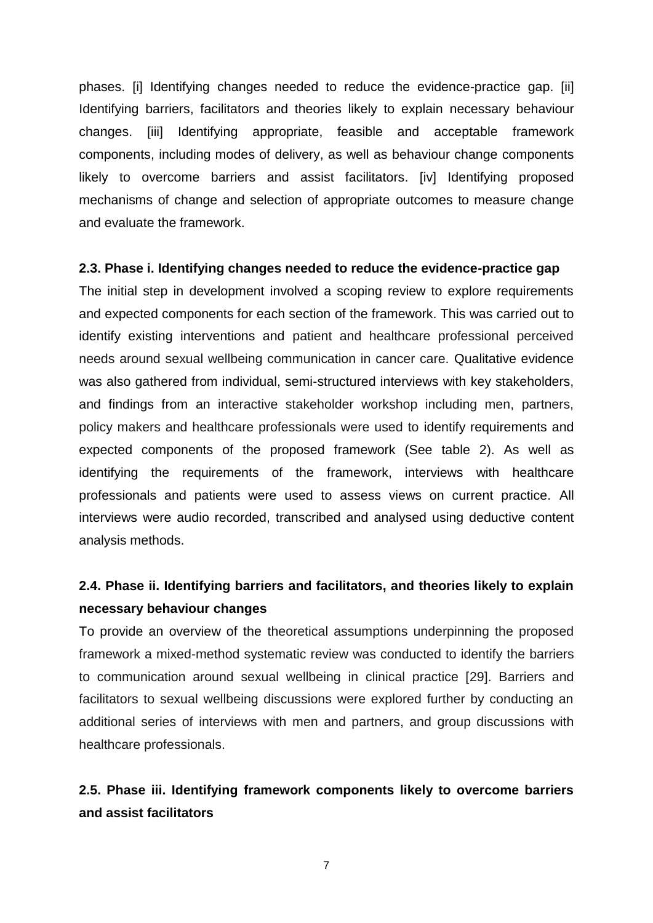phases. [i] Identifying changes needed to reduce the evidence-practice gap. [ii] Identifying barriers, facilitators and theories likely to explain necessary behaviour changes. [iii] Identifying appropriate, feasible and acceptable framework components, including modes of delivery, as well as behaviour change components likely to overcome barriers and assist facilitators. [iv] Identifying proposed mechanisms of change and selection of appropriate outcomes to measure change and evaluate the framework.

### **2.3. Phase i. Identifying changes needed to reduce the evidence-practice gap**

The initial step in development involved a scoping review to explore requirements and expected components for each section of the framework. This was carried out to identify existing interventions and patient and healthcare professional perceived needs around sexual wellbeing communication in cancer care. Qualitative evidence was also gathered from individual, semi-structured interviews with key stakeholders, and findings from an interactive stakeholder workshop including men, partners, policy makers and healthcare professionals were used to identify requirements and expected components of the proposed framework (See table 2). As well as identifying the requirements of the framework, interviews with healthcare professionals and patients were used to assess views on current practice. All interviews were audio recorded, transcribed and analysed using deductive content analysis methods.

# **2.4. Phase ii. Identifying barriers and facilitators, and theories likely to explain necessary behaviour changes**

To provide an overview of the theoretical assumptions underpinning the proposed framework a mixed-method systematic review was conducted to identify the barriers to communication around sexual wellbeing in clinical practice [29]. Barriers and facilitators to sexual wellbeing discussions were explored further by conducting an additional series of interviews with men and partners, and group discussions with healthcare professionals.

# **2.5. Phase iii. Identifying framework components likely to overcome barriers and assist facilitators**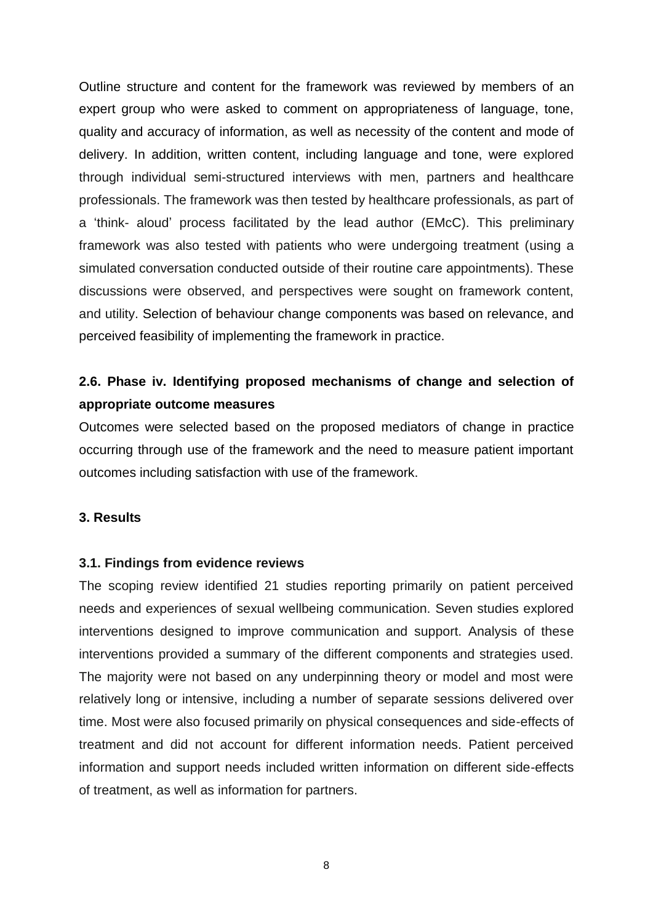Outline structure and content for the framework was reviewed by members of an expert group who were asked to comment on appropriateness of language, tone, quality and accuracy of information, as well as necessity of the content and mode of delivery. In addition, written content, including language and tone, were explored through individual semi-structured interviews with men, partners and healthcare professionals. The framework was then tested by healthcare professionals, as part of a 'think- aloud' process facilitated by the lead author (EMcC). This preliminary framework was also tested with patients who were undergoing treatment (using a simulated conversation conducted outside of their routine care appointments). These discussions were observed, and perspectives were sought on framework content, and utility. Selection of behaviour change components was based on relevance, and perceived feasibility of implementing the framework in practice.

# **2.6. Phase iv. Identifying proposed mechanisms of change and selection of appropriate outcome measures**

Outcomes were selected based on the proposed mediators of change in practice occurring through use of the framework and the need to measure patient important outcomes including satisfaction with use of the framework.

# **3. Results**

#### **3.1. Findings from evidence reviews**

The scoping review identified 21 studies reporting primarily on patient perceived needs and experiences of sexual wellbeing communication. Seven studies explored interventions designed to improve communication and support. Analysis of these interventions provided a summary of the different components and strategies used. The majority were not based on any underpinning theory or model and most were relatively long or intensive, including a number of separate sessions delivered over time. Most were also focused primarily on physical consequences and side-effects of treatment and did not account for different information needs. Patient perceived information and support needs included written information on different side-effects of treatment, as well as information for partners.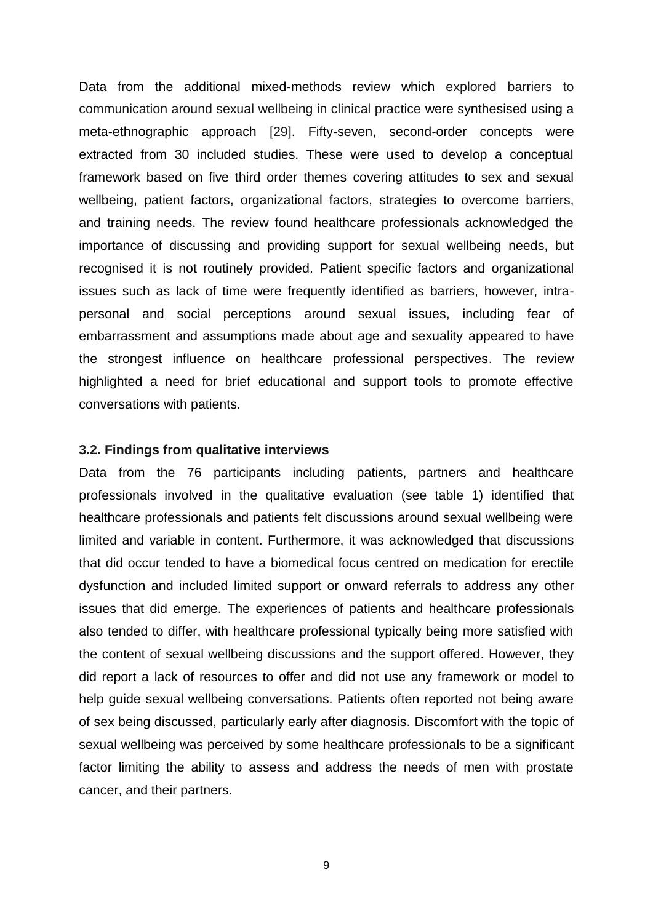Data from the additional mixed-methods review which explored barriers to communication around sexual wellbeing in clinical practice were synthesised using a meta-ethnographic approach [29]. Fifty-seven, second-order concepts were extracted from 30 included studies. These were used to develop a conceptual framework based on five third order themes covering attitudes to sex and sexual wellbeing, patient factors, organizational factors, strategies to overcome barriers, and training needs. The review found healthcare professionals acknowledged the importance of discussing and providing support for sexual wellbeing needs, but recognised it is not routinely provided. Patient specific factors and organizational issues such as lack of time were frequently identified as barriers, however, intrapersonal and social perceptions around sexual issues, including fear of embarrassment and assumptions made about age and sexuality appeared to have the strongest influence on healthcare professional perspectives. The review highlighted a need for brief educational and support tools to promote effective conversations with patients.

### **3.2. Findings from qualitative interviews**

Data from the 76 participants including patients, partners and healthcare professionals involved in the qualitative evaluation (see table 1) identified that healthcare professionals and patients felt discussions around sexual wellbeing were limited and variable in content. Furthermore, it was acknowledged that discussions that did occur tended to have a biomedical focus centred on medication for erectile dysfunction and included limited support or onward referrals to address any other issues that did emerge. The experiences of patients and healthcare professionals also tended to differ, with healthcare professional typically being more satisfied with the content of sexual wellbeing discussions and the support offered. However, they did report a lack of resources to offer and did not use any framework or model to help guide sexual wellbeing conversations. Patients often reported not being aware of sex being discussed, particularly early after diagnosis. Discomfort with the topic of sexual wellbeing was perceived by some healthcare professionals to be a significant factor limiting the ability to assess and address the needs of men with prostate cancer, and their partners.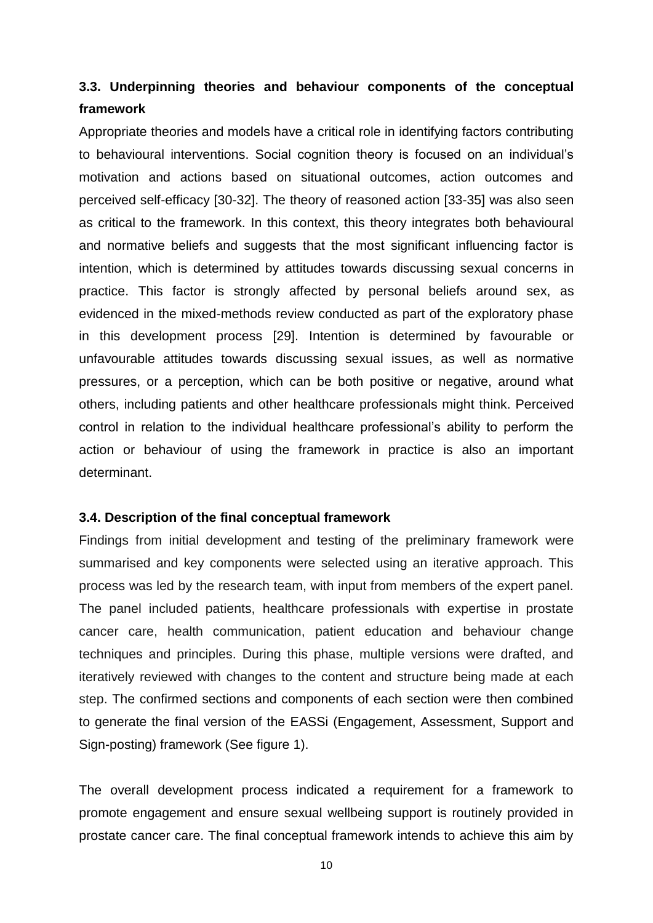# **3.3. Underpinning theories and behaviour components of the conceptual framework**

Appropriate theories and models have a critical role in identifying factors contributing to behavioural interventions. Social cognition theory is focused on an individual's motivation and actions based on situational outcomes, action outcomes and perceived self-efficacy [30-32]. The theory of reasoned action [33-35] was also seen as critical to the framework. In this context, this theory integrates both behavioural and normative beliefs and suggests that the most significant influencing factor is intention, which is determined by attitudes towards discussing sexual concerns in practice. This factor is strongly affected by personal beliefs around sex, as evidenced in the mixed-methods review conducted as part of the exploratory phase in this development process [29]. Intention is determined by favourable or unfavourable attitudes towards discussing sexual issues, as well as normative pressures, or a perception, which can be both positive or negative, around what others, including patients and other healthcare professionals might think. Perceived control in relation to the individual healthcare professional's ability to perform the action or behaviour of using the framework in practice is also an important determinant.

### **3.4. Description of the final conceptual framework**

Findings from initial development and testing of the preliminary framework were summarised and key components were selected using an iterative approach. This process was led by the research team, with input from members of the expert panel. The panel included patients, healthcare professionals with expertise in prostate cancer care, health communication, patient education and behaviour change techniques and principles. During this phase, multiple versions were drafted, and iteratively reviewed with changes to the content and structure being made at each step. The confirmed sections and components of each section were then combined to generate the final version of the EASSi (Engagement, Assessment, Support and Sign-posting) framework (See figure 1).

The overall development process indicated a requirement for a framework to promote engagement and ensure sexual wellbeing support is routinely provided in prostate cancer care. The final conceptual framework intends to achieve this aim by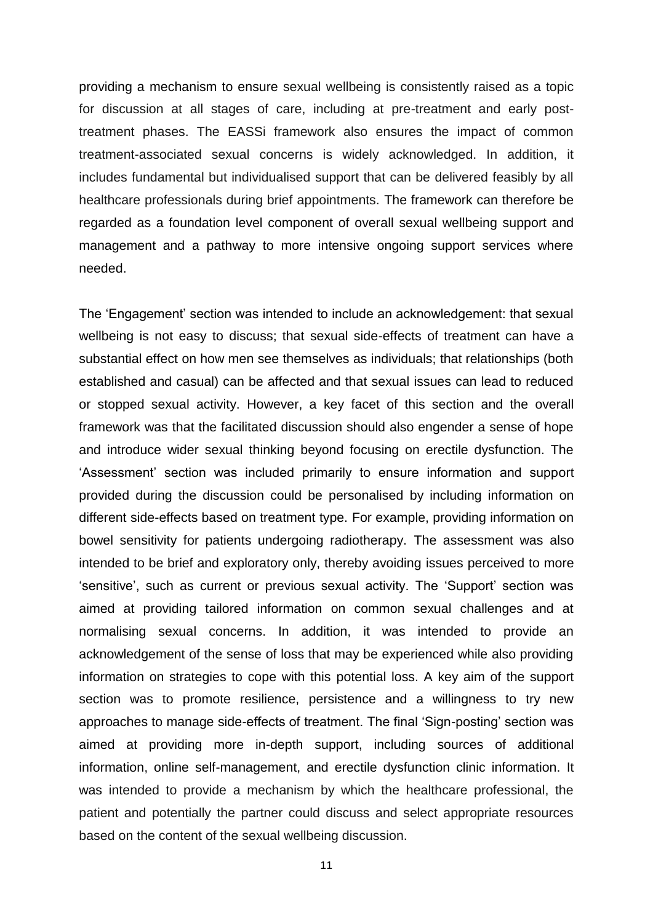providing a mechanism to ensure sexual wellbeing is consistently raised as a topic for discussion at all stages of care, including at pre-treatment and early posttreatment phases. The EASSi framework also ensures the impact of common treatment-associated sexual concerns is widely acknowledged. In addition, it includes fundamental but individualised support that can be delivered feasibly by all healthcare professionals during brief appointments. The framework can therefore be regarded as a foundation level component of overall sexual wellbeing support and management and a pathway to more intensive ongoing support services where needed.

The 'Engagement' section was intended to include an acknowledgement: that sexual wellbeing is not easy to discuss; that sexual side-effects of treatment can have a substantial effect on how men see themselves as individuals; that relationships (both established and casual) can be affected and that sexual issues can lead to reduced or stopped sexual activity. However, a key facet of this section and the overall framework was that the facilitated discussion should also engender a sense of hope and introduce wider sexual thinking beyond focusing on erectile dysfunction. The 'Assessment' section was included primarily to ensure information and support provided during the discussion could be personalised by including information on different side-effects based on treatment type. For example, providing information on bowel sensitivity for patients undergoing radiotherapy. The assessment was also intended to be brief and exploratory only, thereby avoiding issues perceived to more 'sensitive', such as current or previous sexual activity. The 'Support' section was aimed at providing tailored information on common sexual challenges and at normalising sexual concerns. In addition, it was intended to provide an acknowledgement of the sense of loss that may be experienced while also providing information on strategies to cope with this potential loss. A key aim of the support section was to promote resilience, persistence and a willingness to try new approaches to manage side-effects of treatment. The final 'Sign-posting' section was aimed at providing more in-depth support, including sources of additional information, online self-management, and erectile dysfunction clinic information. It was intended to provide a mechanism by which the healthcare professional, the patient and potentially the partner could discuss and select appropriate resources based on the content of the sexual wellbeing discussion.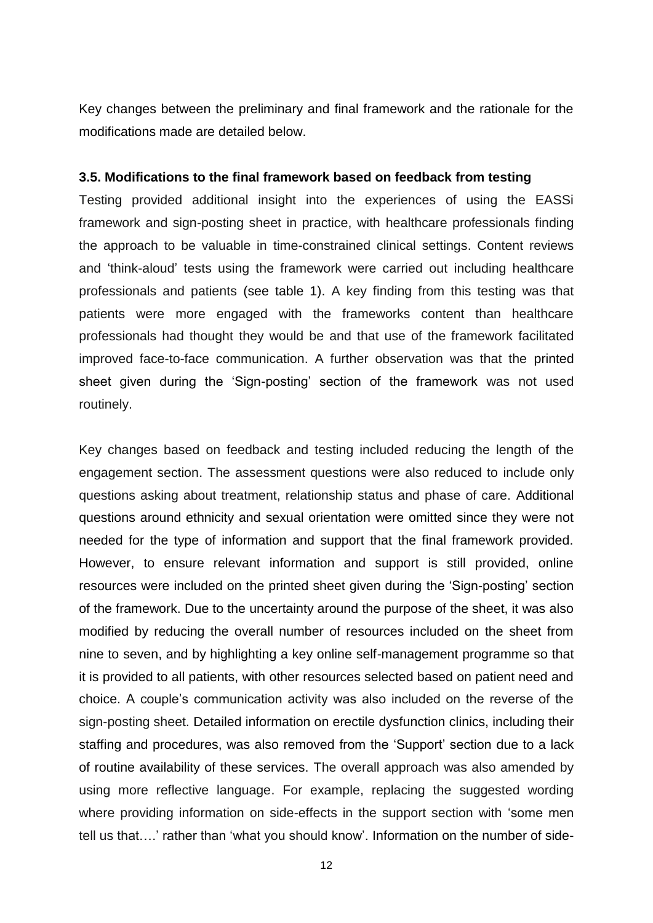Key changes between the preliminary and final framework and the rationale for the modifications made are detailed below.

### **3.5. Modifications to the final framework based on feedback from testing**

Testing provided additional insight into the experiences of using the EASSi framework and sign-posting sheet in practice, with healthcare professionals finding the approach to be valuable in time-constrained clinical settings. Content reviews and 'think-aloud' tests using the framework were carried out including healthcare professionals and patients (see table 1). A key finding from this testing was that patients were more engaged with the frameworks content than healthcare professionals had thought they would be and that use of the framework facilitated improved face-to-face communication. A further observation was that the printed sheet given during the 'Sign-posting' section of the framework was not used routinely.

Key changes based on feedback and testing included reducing the length of the engagement section. The assessment questions were also reduced to include only questions asking about treatment, relationship status and phase of care. Additional questions around ethnicity and sexual orientation were omitted since they were not needed for the type of information and support that the final framework provided. However, to ensure relevant information and support is still provided, online resources were included on the printed sheet given during the 'Sign-posting' section of the framework. Due to the uncertainty around the purpose of the sheet, it was also modified by reducing the overall number of resources included on the sheet from nine to seven, and by highlighting a key online self-management programme so that it is provided to all patients, with other resources selected based on patient need and choice. A couple's communication activity was also included on the reverse of the sign-posting sheet. Detailed information on erectile dysfunction clinics, including their staffing and procedures, was also removed from the 'Support' section due to a lack of routine availability of these services. The overall approach was also amended by using more reflective language. For example, replacing the suggested wording where providing information on side-effects in the support section with 'some men tell us that….' rather than 'what you should know'. Information on the number of side-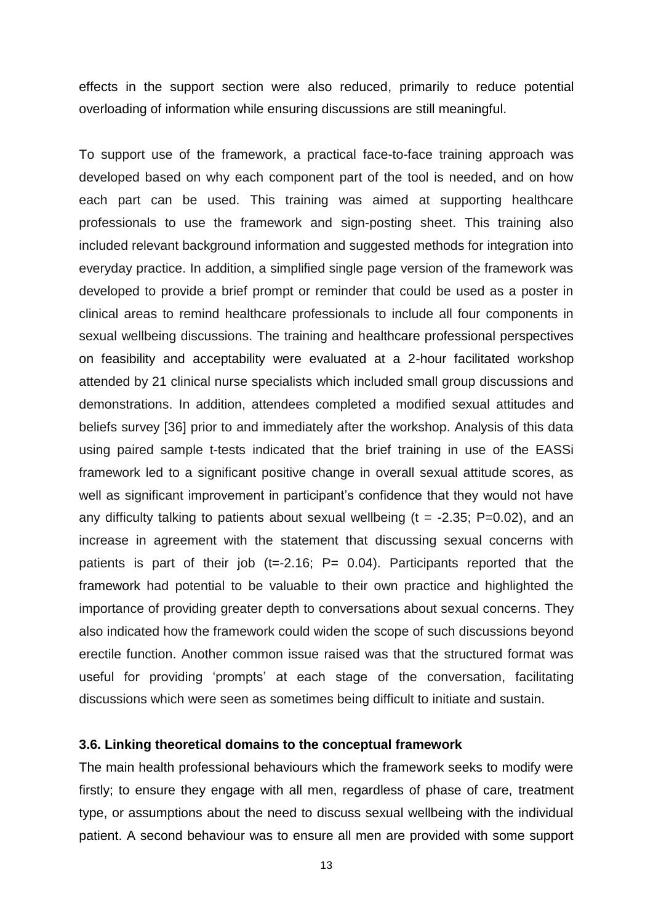effects in the support section were also reduced, primarily to reduce potential overloading of information while ensuring discussions are still meaningful.

To support use of the framework, a practical face-to-face training approach was developed based on why each component part of the tool is needed, and on how each part can be used. This training was aimed at supporting healthcare professionals to use the framework and sign-posting sheet. This training also included relevant background information and suggested methods for integration into everyday practice. In addition, a simplified single page version of the framework was developed to provide a brief prompt or reminder that could be used as a poster in clinical areas to remind healthcare professionals to include all four components in sexual wellbeing discussions. The training and healthcare professional perspectives on feasibility and acceptability were evaluated at a 2-hour facilitated workshop attended by 21 clinical nurse specialists which included small group discussions and demonstrations. In addition, attendees completed a modified sexual attitudes and beliefs survey [36] prior to and immediately after the workshop. Analysis of this data using paired sample t-tests indicated that the brief training in use of the EASSi framework led to a significant positive change in overall sexual attitude scores, as well as significant improvement in participant's confidence that they would not have any difficulty talking to patients about sexual wellbeing  $(t = -2.35; P=0.02)$ , and an increase in agreement with the statement that discussing sexual concerns with patients is part of their job (t=-2.16; P= 0.04). Participants reported that the framework had potential to be valuable to their own practice and highlighted the importance of providing greater depth to conversations about sexual concerns. They also indicated how the framework could widen the scope of such discussions beyond erectile function. Another common issue raised was that the structured format was useful for providing 'prompts' at each stage of the conversation, facilitating discussions which were seen as sometimes being difficult to initiate and sustain.

### **3.6. Linking theoretical domains to the conceptual framework**

The main health professional behaviours which the framework seeks to modify were firstly; to ensure they engage with all men, regardless of phase of care, treatment type, or assumptions about the need to discuss sexual wellbeing with the individual patient. A second behaviour was to ensure all men are provided with some support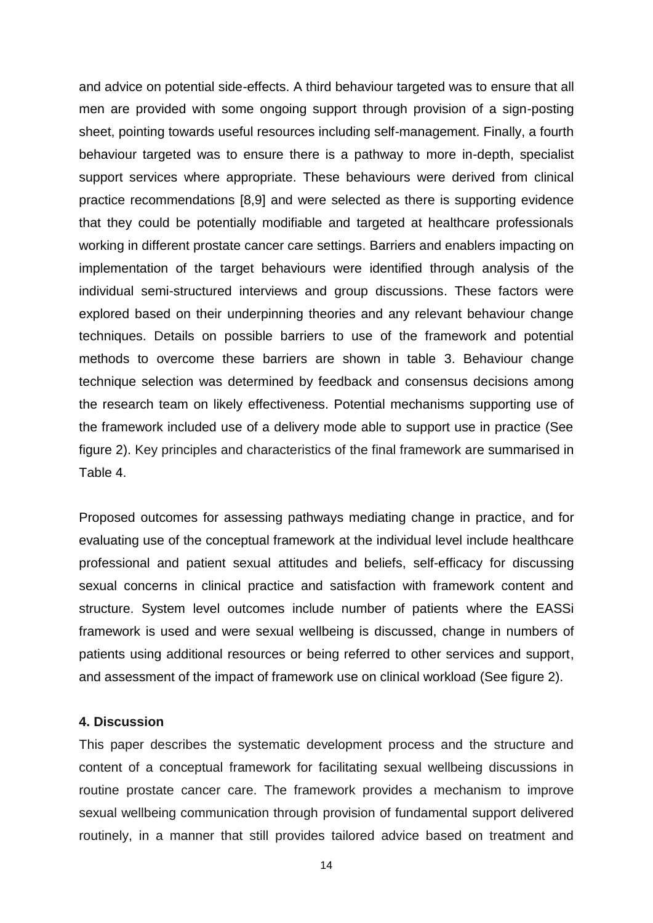and advice on potential side-effects. A third behaviour targeted was to ensure that all men are provided with some ongoing support through provision of a sign-posting sheet, pointing towards useful resources including self-management. Finally, a fourth behaviour targeted was to ensure there is a pathway to more in-depth, specialist support services where appropriate. These behaviours were derived from clinical practice recommendations [8,9] and were selected as there is supporting evidence that they could be potentially modifiable and targeted at healthcare professionals working in different prostate cancer care settings. Barriers and enablers impacting on implementation of the target behaviours were identified through analysis of the individual semi-structured interviews and group discussions. These factors were explored based on their underpinning theories and any relevant behaviour change techniques. Details on possible barriers to use of the framework and potential methods to overcome these barriers are shown in table 3. Behaviour change technique selection was determined by feedback and consensus decisions among the research team on likely effectiveness. Potential mechanisms supporting use of the framework included use of a delivery mode able to support use in practice (See figure 2). Key principles and characteristics of the final framework are summarised in Table 4.

Proposed outcomes for assessing pathways mediating change in practice, and for evaluating use of the conceptual framework at the individual level include healthcare professional and patient sexual attitudes and beliefs, self-efficacy for discussing sexual concerns in clinical practice and satisfaction with framework content and structure. System level outcomes include number of patients where the EASSi framework is used and were sexual wellbeing is discussed, change in numbers of patients using additional resources or being referred to other services and support, and assessment of the impact of framework use on clinical workload (See figure 2).

#### **4. Discussion**

This paper describes the systematic development process and the structure and content of a conceptual framework for facilitating sexual wellbeing discussions in routine prostate cancer care. The framework provides a mechanism to improve sexual wellbeing communication through provision of fundamental support delivered routinely, in a manner that still provides tailored advice based on treatment and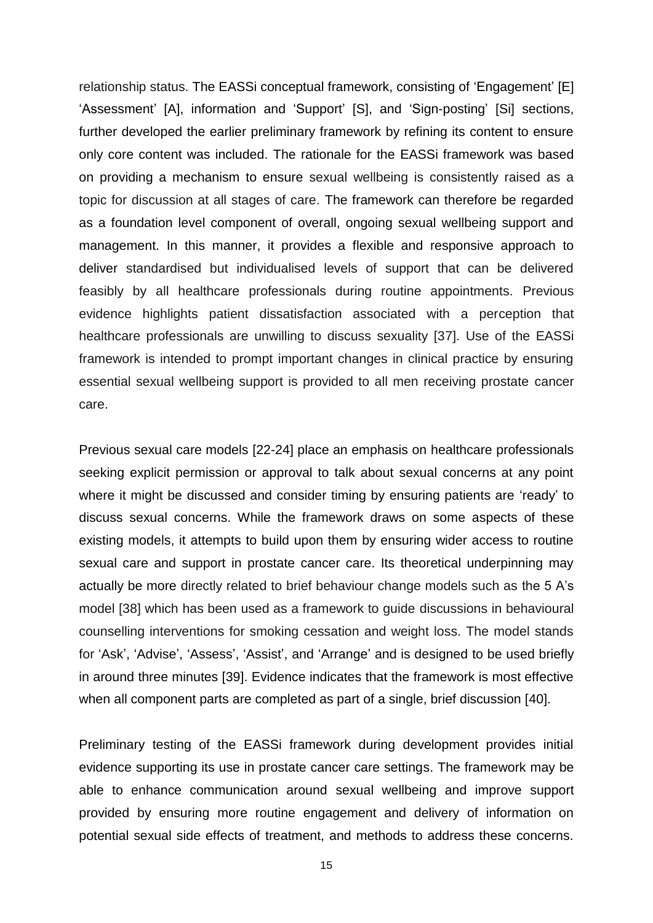relationship status. The EASSi conceptual framework, consisting of 'Engagement' [E] 'Assessment' [A], information and 'Support' [S], and 'Sign-posting' [Si] sections, further developed the earlier preliminary framework by refining its content to ensure only core content was included. The rationale for the EASSi framework was based on providing a mechanism to ensure sexual wellbeing is consistently raised as a topic for discussion at all stages of care. The framework can therefore be regarded as a foundation level component of overall, ongoing sexual wellbeing support and management. In this manner, it provides a flexible and responsive approach to deliver standardised but individualised levels of support that can be delivered feasibly by all healthcare professionals during routine appointments. Previous evidence highlights patient dissatisfaction associated with a perception that healthcare professionals are unwilling to discuss sexuality [37]. Use of the EASSi framework is intended to prompt important changes in clinical practice by ensuring essential sexual wellbeing support is provided to all men receiving prostate cancer care.

Previous sexual care models [22-24] place an emphasis on healthcare professionals seeking explicit permission or approval to talk about sexual concerns at any point where it might be discussed and consider timing by ensuring patients are 'ready' to discuss sexual concerns. While the framework draws on some aspects of these existing models, it attempts to build upon them by ensuring wider access to routine sexual care and support in prostate cancer care. Its theoretical underpinning may actually be more directly related to brief behaviour change models such as the 5 A's model [38] which has been used as a framework to guide discussions in behavioural counselling interventions for smoking cessation and weight loss. The model stands for 'Ask', 'Advise', 'Assess', 'Assist', and 'Arrange' and is designed to be used briefly in around three minutes [39]. Evidence indicates that the framework is most effective when all component parts are completed as part of a single, brief discussion [40].

Preliminary testing of the EASSi framework during development provides initial evidence supporting its use in prostate cancer care settings. The framework may be able to enhance communication around sexual wellbeing and improve support provided by ensuring more routine engagement and delivery of information on potential sexual side effects of treatment, and methods to address these concerns.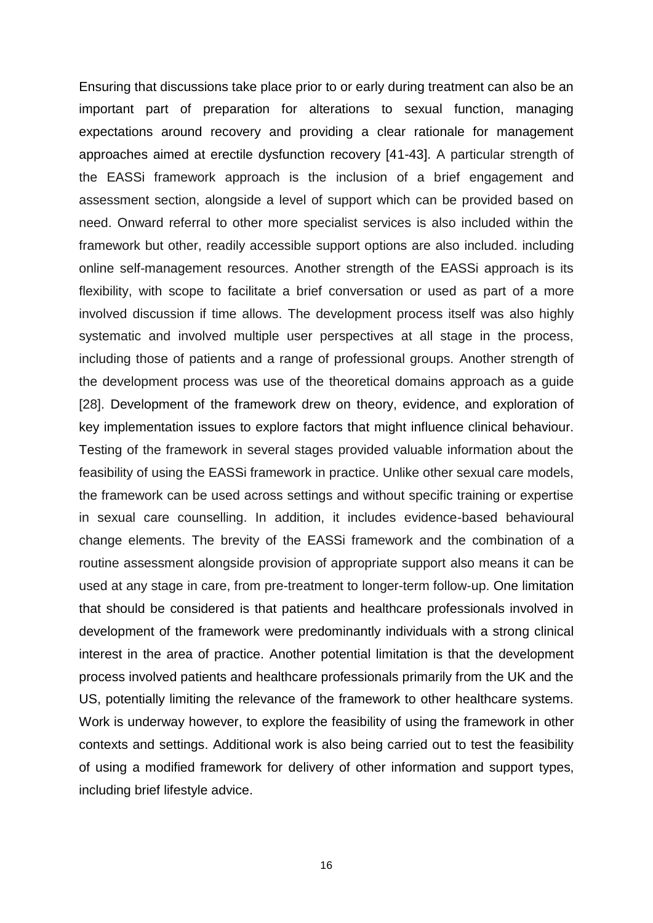Ensuring that discussions take place prior to or early during treatment can also be an important part of preparation for alterations to sexual function, managing expectations around recovery and providing a clear rationale for management approaches aimed at erectile dysfunction recovery [41-43]. A particular strength of the EASSi framework approach is the inclusion of a brief engagement and assessment section, alongside a level of support which can be provided based on need. Onward referral to other more specialist services is also included within the framework but other, readily accessible support options are also included. including online self-management resources. Another strength of the EASSi approach is its flexibility, with scope to facilitate a brief conversation or used as part of a more involved discussion if time allows. The development process itself was also highly systematic and involved multiple user perspectives at all stage in the process, including those of patients and a range of professional groups. Another strength of the development process was use of the theoretical domains approach as a guide [28]. Development of the framework drew on theory, evidence, and exploration of key implementation issues to explore factors that might influence clinical behaviour. Testing of the framework in several stages provided valuable information about the feasibility of using the EASSi framework in practice. Unlike other sexual care models, the framework can be used across settings and without specific training or expertise in sexual care counselling. In addition, it includes evidence-based behavioural change elements. The brevity of the EASSi framework and the combination of a routine assessment alongside provision of appropriate support also means it can be used at any stage in care, from pre-treatment to longer-term follow-up. One limitation that should be considered is that patients and healthcare professionals involved in development of the framework were predominantly individuals with a strong clinical interest in the area of practice. Another potential limitation is that the development process involved patients and healthcare professionals primarily from the UK and the US, potentially limiting the relevance of the framework to other healthcare systems. Work is underway however, to explore the feasibility of using the framework in other contexts and settings. Additional work is also being carried out to test the feasibility of using a modified framework for delivery of other information and support types, including brief lifestyle advice.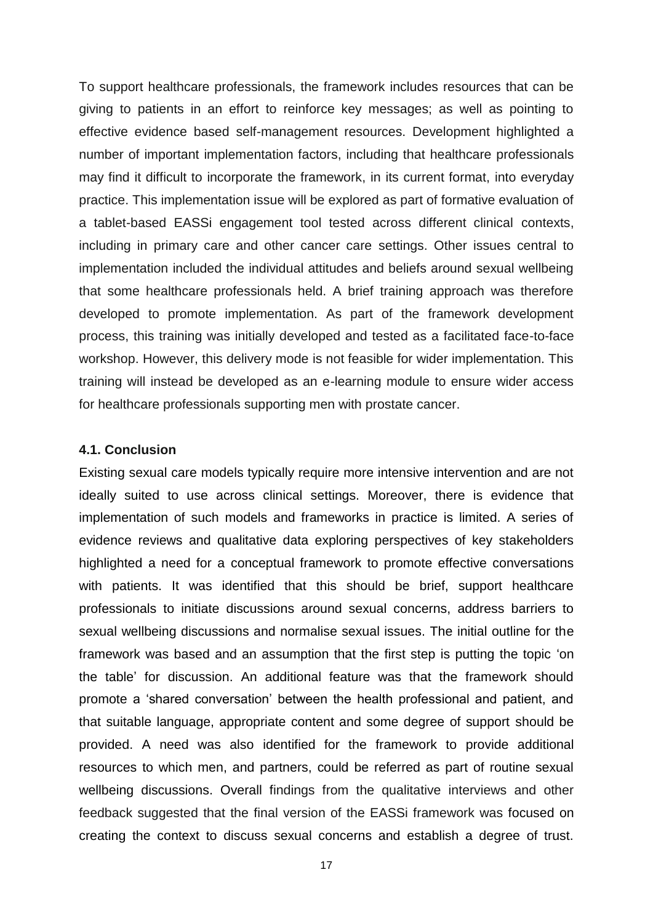To support healthcare professionals, the framework includes resources that can be giving to patients in an effort to reinforce key messages; as well as pointing to effective evidence based self-management resources. Development highlighted a number of important implementation factors, including that healthcare professionals may find it difficult to incorporate the framework, in its current format, into everyday practice. This implementation issue will be explored as part of formative evaluation of a tablet-based EASSi engagement tool tested across different clinical contexts, including in primary care and other cancer care settings. Other issues central to implementation included the individual attitudes and beliefs around sexual wellbeing that some healthcare professionals held. A brief training approach was therefore developed to promote implementation. As part of the framework development process, this training was initially developed and tested as a facilitated face-to-face workshop. However, this delivery mode is not feasible for wider implementation. This training will instead be developed as an e-learning module to ensure wider access for healthcare professionals supporting men with prostate cancer.

### **4.1. Conclusion**

Existing sexual care models typically require more intensive intervention and are not ideally suited to use across clinical settings. Moreover, there is evidence that implementation of such models and frameworks in practice is limited. A series of evidence reviews and qualitative data exploring perspectives of key stakeholders highlighted a need for a conceptual framework to promote effective conversations with patients. It was identified that this should be brief, support healthcare professionals to initiate discussions around sexual concerns, address barriers to sexual wellbeing discussions and normalise sexual issues. The initial outline for the framework was based and an assumption that the first step is putting the topic 'on the table' for discussion. An additional feature was that the framework should promote a 'shared conversation' between the health professional and patient, and that suitable language, appropriate content and some degree of support should be provided. A need was also identified for the framework to provide additional resources to which men, and partners, could be referred as part of routine sexual wellbeing discussions. Overall findings from the qualitative interviews and other feedback suggested that the final version of the EASSi framework was focused on creating the context to discuss sexual concerns and establish a degree of trust.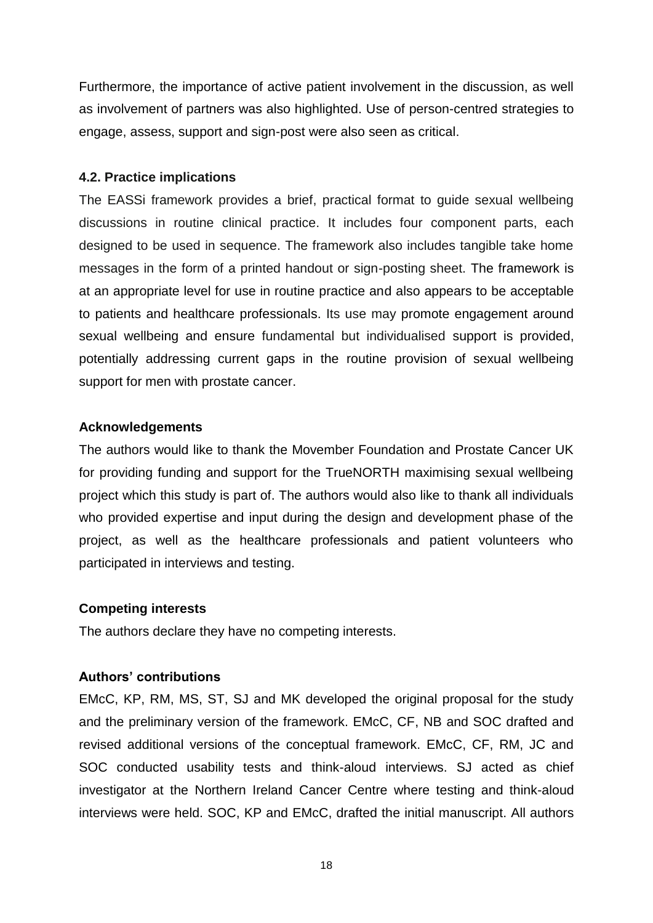Furthermore, the importance of active patient involvement in the discussion, as well as involvement of partners was also highlighted. Use of person-centred strategies to engage, assess, support and sign-post were also seen as critical.

### **4.2. Practice implications**

The EASSi framework provides a brief, practical format to guide sexual wellbeing discussions in routine clinical practice. It includes four component parts, each designed to be used in sequence. The framework also includes tangible take home messages in the form of a printed handout or sign-posting sheet. The framework is at an appropriate level for use in routine practice and also appears to be acceptable to patients and healthcare professionals. Its use may promote engagement around sexual wellbeing and ensure fundamental but individualised support is provided, potentially addressing current gaps in the routine provision of sexual wellbeing support for men with prostate cancer.

### **Acknowledgements**

The authors would like to thank the Movember Foundation and Prostate Cancer UK for providing funding and support for the TrueNORTH maximising sexual wellbeing project which this study is part of. The authors would also like to thank all individuals who provided expertise and input during the design and development phase of the project, as well as the healthcare professionals and patient volunteers who participated in interviews and testing.

### **Competing interests**

The authors declare they have no competing interests.

# **Authors' contributions**

EMcC, KP, RM, MS, ST, SJ and MK developed the original proposal for the study and the preliminary version of the framework. EMcC, CF, NB and SOC drafted and revised additional versions of the conceptual framework. EMcC, CF, RM, JC and SOC conducted usability tests and think-aloud interviews. SJ acted as chief investigator at the Northern Ireland Cancer Centre where testing and think-aloud interviews were held. SOC, KP and EMcC, drafted the initial manuscript. All authors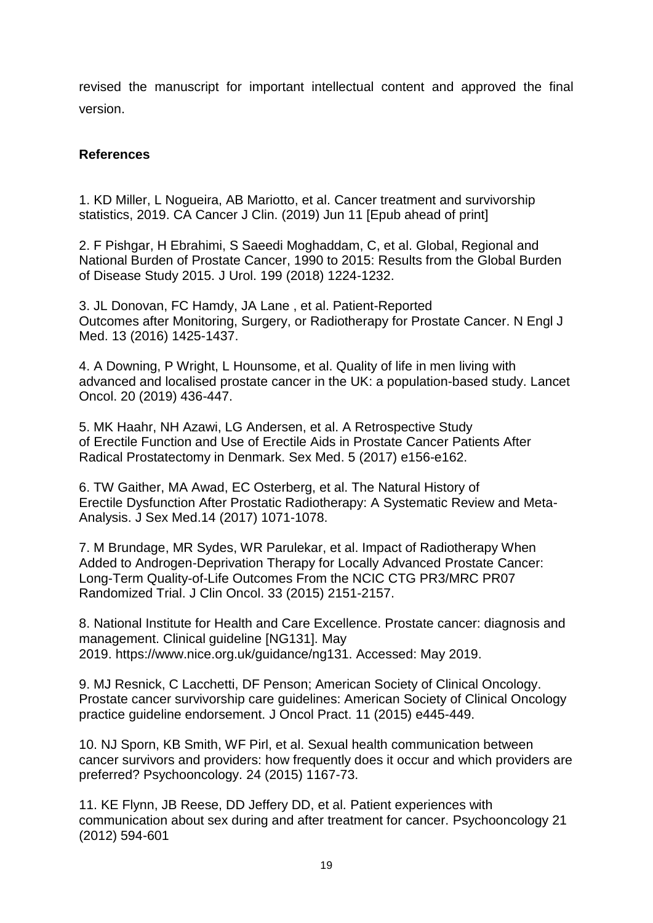revised the manuscript for important intellectual content and approved the final version.

# **References**

1. KD Miller, L Nogueira, AB Mariotto, et al. Cancer treatment and survivorship statistics, 2019. CA Cancer J Clin. (2019) Jun 11 [Epub ahead of print]

2. F Pishgar, H Ebrahimi, S Saeedi Moghaddam, C, et al. Global, Regional and National Burden of Prostate Cancer, 1990 to 2015: Results from the Global Burden of Disease Study 2015. J Urol. 199 (2018) 1224-1232.

3. JL [Donovan,](https://www.ncbi.nlm.nih.gov/pubmed/?term=Donovan%20JL%5BAuthor%5D&cauthor=true&cauthor_uid=27626365) FC [Hamdy,](https://www.ncbi.nlm.nih.gov/pubmed/?term=Hamdy%20FC%5BAuthor%5D&cauthor=true&cauthor_uid=27626365) JA [Lane ,](https://www.ncbi.nlm.nih.gov/pubmed/?term=Lane%20JA%5BAuthor%5D&cauthor=true&cauthor_uid=27626365) et al. Patient-Reported Outcomes after Monitoring, Surgery, or Radiotherapy for Prostate Cancer. N Engl J Med. 13 (2016) 1425-1437.

4. A Downing, P Wright, L Hounsome, et al. Quality of life in men living with advanced and localised prostate cancer in the UK: a population-based study. Lancet Oncol. 20 (2019) 436-447.

5. MK Haahr, NH Azawi, LG Andersen, et al. A Retrospective Study of Erectile Function and Use of Erectile Aids in Prostate Cancer Patients After Radical Prostatectomy in Denmark. Sex Med. 5 (2017) e156-e162.

6. TW Gaither, MA Awad, EC Osterberg, et al. The Natural History of Erectile Dysfunction After Prostatic Radiotherapy: A Systematic Review and Meta-Analysis. J Sex Med.14 (2017) 1071-1078.

7. M [Brundage,](https://www.ncbi.nlm.nih.gov/pubmed/?term=Brundage%20M%5BAuthor%5D&cauthor=true&cauthor_uid=26014295) MR [Sydes,](https://www.ncbi.nlm.nih.gov/pubmed/?term=Sydes%20MR%5BAuthor%5D&cauthor=true&cauthor_uid=26014295) WR [Parulekar,](https://www.ncbi.nlm.nih.gov/pubmed/?term=Parulekar%20WR%5BAuthor%5D&cauthor=true&cauthor_uid=26014295) et al. Impact of Radiotherapy When Added to Androgen-Deprivation Therapy for Locally Advanced Prostate Cancer: Long-Term Quality-of-Life Outcomes From the NCIC CTG PR3/MRC PR07 Randomized Trial. [J Clin Oncol.](https://www.ncbi.nlm.nih.gov/pubmed/26014295) 33 (2015) 2151-2157.

8. National Institute for Health and Care Excellence. Prostate cancer: diagnosis and management. Clinical guideline [NG131]. May 2019. https://www.nice.org.uk/guidance/ng131. Accessed: May 2019.

9. MJ [Resnick,](https://www.ncbi.nlm.nih.gov/pubmed/?term=Resnick%20MJ%5BAuthor%5D&cauthor=true&cauthor_uid=25829527) C [Lacchetti,](https://www.ncbi.nlm.nih.gov/pubmed/?term=Lacchetti%20C%5BAuthor%5D&cauthor=true&cauthor_uid=25829527) DF [Penson;](https://www.ncbi.nlm.nih.gov/pubmed/?term=Penson%20DF%5BAuthor%5D&cauthor=true&cauthor_uid=25829527) [American Society of Clinical Oncology.](https://www.ncbi.nlm.nih.gov/pubmed/?term=American%20Society%20of%20Clinical%20Oncology%5BCorporate%20Author%5D) Prostate cancer survivorship care guidelines: American Society of Clinical Oncology practice guideline endorsement. [J Oncol Pract.](https://www.ncbi.nlm.nih.gov/pubmed/25829527) 11 (2015) e445-449.

10. NJ Sporn, KB Smith, WF Pirl, et al. Sexual health communication between cancer survivors and providers: how frequently does it occur and which providers are preferred? Psychooncology. 24 (2015) 1167-73.

11. KE Flynn, JB Reese, DD Jeffery DD, et al. Patient experiences with communication about sex during and after treatment for cancer. Psychooncology 21 (2012) 594-601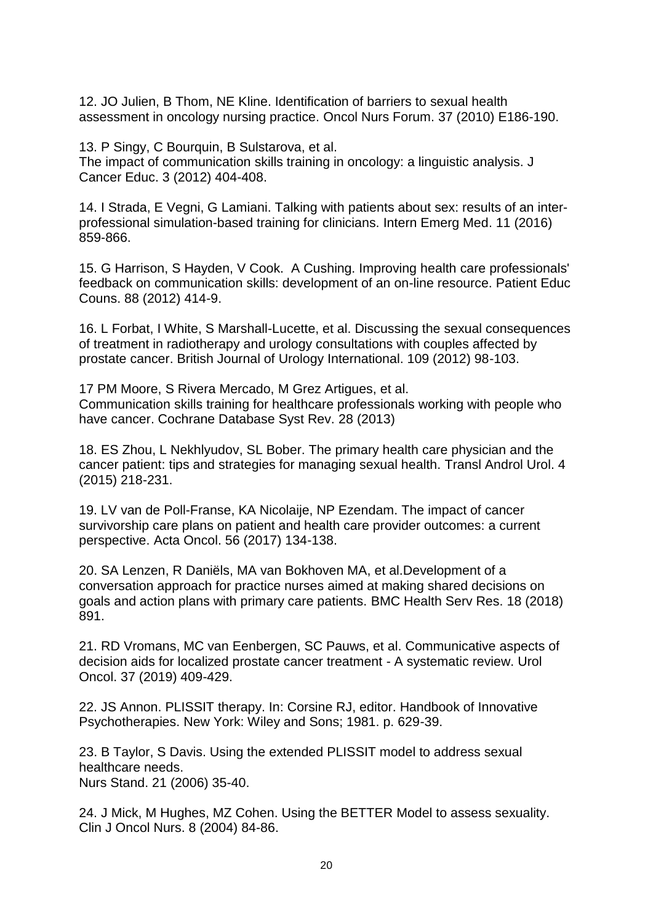12. JO [Julien,](https://www.ncbi.nlm.nih.gov/pubmed/?term=Julien%20JO%5BAuthor%5D&cauthor=true&cauthor_uid=20439204) B [Thom,](https://www.ncbi.nlm.nih.gov/pubmed/?term=Thom%20B%5BAuthor%5D&cauthor=true&cauthor_uid=20439204) NE [Kline.](https://www.ncbi.nlm.nih.gov/pubmed/?term=Kline%20NE%5BAuthor%5D&cauthor=true&cauthor_uid=20439204) Identification of barriers to sexual health assessment in oncology nursing practice. [Oncol Nurs Forum.](https://www.ncbi.nlm.nih.gov/pubmed/20439204) 37 (2010) E186-190.

13. P [Singy,](https://www.ncbi.nlm.nih.gov/pubmed/?term=Singy%20P%5BAuthor%5D&cauthor=true&cauthor_uid=22714790) C Bourquin, B Sulstarova, et al. The impact of communication skills training in oncology: a linguistic analysis. J Cancer Educ. 3 (2012) 404-408.

14. I Strada, E Vegni, G Lamiani. Talking with patients about sex: results of an interprofessional simulation-based training for clinicians. Intern Emerg Med. 11 (2016) 859-866.

15. G Harrison, S Hayden, V Cook. A Cushing. Improving health care professionals' feedback on communication skills: development of an on-line resource. Patient Educ Couns. 88 (2012) 414-9.

16. L Forbat, I White, S Marshall-Lucette, et al. Discussing the sexual consequences of treatment in radiotherapy and urology consultations with couples affected by prostate cancer. British Journal of Urology International. 109 (2012) 98-103.

17 PM Moore, S Rivera Mercado, M Grez Artigues, et al. Communication skills training for healthcare professionals working with people who have cancer. Cochrane Database Syst Rev. 28 (2013)

18. ES [Zhou,](https://www.ncbi.nlm.nih.gov/pubmed/?term=Zhou%20ES%5BAuthor%5D&cauthor=true&cauthor_uid=26816826) L [Nekhlyudov,](https://www.ncbi.nlm.nih.gov/pubmed/?term=Nekhlyudov%20L%5BAuthor%5D&cauthor=true&cauthor_uid=26816826) SL [Bober.](https://www.ncbi.nlm.nih.gov/pubmed/?term=Bober%20SL%5BAuthor%5D&cauthor=true&cauthor_uid=26816826) The primary health care physician and the cancer patient: tips and strategies for managing sexual health. [Transl Androl Urol.](https://www.ncbi.nlm.nih.gov/pubmed/26816826) 4 (2015) 218-231.

19. LV van de Poll-Franse, KA Nicolaije, NP Ezendam. The impact of cancer survivorship care plans on patient and health care provider outcomes: a current perspective. Acta Oncol. 56 (2017) 134-138.

20. SA [Lenzen,](https://www.ncbi.nlm.nih.gov/pubmed/?term=Lenzen%20SA%5BAuthor%5D&cauthor=true&cauthor_uid=30477566) R [Daniëls,](https://www.ncbi.nlm.nih.gov/pubmed/?term=Dani%C3%ABls%20R%5BAuthor%5D&cauthor=true&cauthor_uid=30477566) MA [van Bokhoven MA,](https://www.ncbi.nlm.nih.gov/pubmed/?term=van%20Bokhoven%20MA%5BAuthor%5D&cauthor=true&cauthor_uid=30477566) et al.Development of a conversation approach for practice nurses aimed at making shared decisions on goals and action plans with primary care patients. [BMC Health Serv Res.](https://www.ncbi.nlm.nih.gov/pubmed/?term=Development+of+a+conversation+approach+for+practice+nurses+aimed+at+making+shared+decisions+on+goals+and+action+plans+with+primary+care+patients) 18 (2018) 891.

21. RD [Vromans,](https://www.ncbi.nlm.nih.gov/pubmed/?term=Vromans%20RD%5BAuthor%5D&cauthor=true&cauthor_uid=31053529) MC [van Eenbergen,](https://www.ncbi.nlm.nih.gov/pubmed/?term=van%20Eenbergen%20MC%5BAuthor%5D&cauthor=true&cauthor_uid=31053529) SC [Pauws,](https://www.ncbi.nlm.nih.gov/pubmed/?term=Pauws%20SC%5BAuthor%5D&cauthor=true&cauthor_uid=31053529) et al. Communicative aspects of decision aids for localized prostate cancer treatment - A systematic review. [Urol](https://www.ncbi.nlm.nih.gov/pubmed/31053529)  [Oncol.](https://www.ncbi.nlm.nih.gov/pubmed/31053529) 37 (2019) 409-429.

22. JS Annon. PLISSIT therapy. In: Corsine RJ, editor. Handbook of Innovative Psychotherapies. New York: Wiley and Sons; 1981. p. 629-39.

23. B Taylor, S Davis. Using the extended PLISSIT model to address sexual healthcare needs. Nurs Stand. 21 (2006) 35-40.

24. J [Mick,](https://www.ncbi.nlm.nih.gov/pubmed/?term=Mick%20J%5BAuthor%5D&cauthor=true&cauthor_uid=15043034) M [Hughes,](https://www.ncbi.nlm.nih.gov/pubmed/?term=Hughes%20M%5BAuthor%5D&cauthor=true&cauthor_uid=15043034) MZ [Cohen.](https://www.ncbi.nlm.nih.gov/pubmed/?term=Cohen%20MZ%5BAuthor%5D&cauthor=true&cauthor_uid=15043034) Using the BETTER Model to assess sexuality. [Clin J Oncol Nurs.](https://www.ncbi.nlm.nih.gov/pubmed/15043034) 8 (2004) 84-86.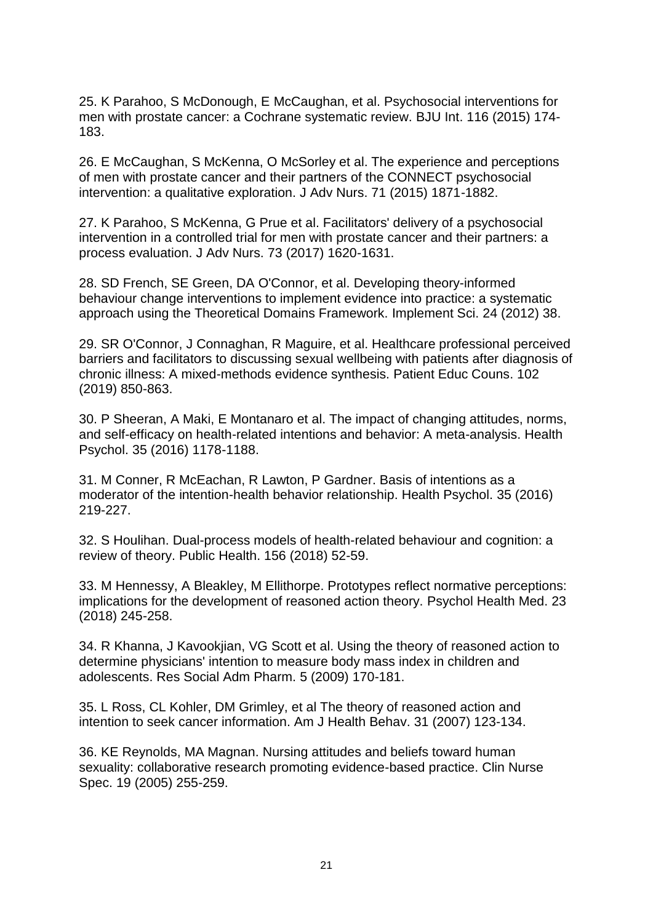25. K Parahoo, S McDonough, E McCaughan, et al. Psychosocial interventions for men with prostate cancer: a Cochrane systematic review. BJU Int. 116 (2015) 174- 183.

26. E McCaughan, S McKenna, O McSorley et al. The experience and perceptions of men with prostate cancer and their partners of the CONNECT psychosocial intervention: a qualitative exploration. J Adv Nurs. 71 (2015) 1871-1882.

27. K Parahoo, S McKenna, G Prue et al. Facilitators' delivery of a psychosocial intervention in a controlled trial for men with prostate cancer and their partners: a process evaluation. J Adv Nurs. 73 (2017) 1620-1631.

28. SD [French,](https://www.ncbi.nlm.nih.gov/pubmed/?term=French%20SD%5BAuthor%5D&cauthor=true&cauthor_uid=22531013) SE [Green,](https://www.ncbi.nlm.nih.gov/pubmed/?term=Green%20SE%5BAuthor%5D&cauthor=true&cauthor_uid=22531013) DA [O'Connor, et al. D](https://www.ncbi.nlm.nih.gov/pubmed/?term=O)eveloping theory-informed behaviour change interventions to implement evidence into practice: a systematic approach using the Theoretical Domains Framework. [Implement Sci.](https://www.ncbi.nlm.nih.gov/pubmed/?term=Developing+theory-informed+behaviour+change+interventions+to+implement+evidence+into+practice%3A+a+systematic+approach+using+the+Theoretical+Domains+Framework) 24 (2012) 38.

29. SR O'Connor, J Connaghan, R Maguire, et al. Healthcare professional perceived barriers and facilitators to discussing sexual wellbeing with patients after diagnosis of chronic illness: A mixed-methods evidence synthesis. Patient Educ Couns. 102 (2019) 850-863.

30. P [Sheeran,](https://www.ncbi.nlm.nih.gov/pubmed/?term=Sheeran%20P%5BAuthor%5D&cauthor=true&cauthor_uid=27280365) A [Maki,](https://www.ncbi.nlm.nih.gov/pubmed/?term=Maki%20A%5BAuthor%5D&cauthor=true&cauthor_uid=27280365) E [Montanaro](https://www.ncbi.nlm.nih.gov/pubmed/?term=Montanaro%20E%5BAuthor%5D&cauthor=true&cauthor_uid=27280365) et al. The impact of changing attitudes, norms, and self-efficacy on health-related intentions and behavior: A meta-analysis. [Health](https://www.ncbi.nlm.nih.gov/pubmed/27280365)  [Psychol.](https://www.ncbi.nlm.nih.gov/pubmed/27280365) 35 (2016) 1178-1188.

31. M [Conner,](https://www.ncbi.nlm.nih.gov/pubmed/?term=Conner%20M%5BAuthor%5D&cauthor=true&cauthor_uid=26348498) R [McEachan,](https://www.ncbi.nlm.nih.gov/pubmed/?term=McEachan%20R%5BAuthor%5D&cauthor=true&cauthor_uid=26348498) R [Lawton,](https://www.ncbi.nlm.nih.gov/pubmed/?term=Lawton%20R%5BAuthor%5D&cauthor=true&cauthor_uid=26348498) P [Gardner. B](https://www.ncbi.nlm.nih.gov/pubmed/?term=Gardner%20P%5BAuthor%5D&cauthor=true&cauthor_uid=26348498)asis of intentions as a moderator of the intention-health behavior relationship. [Health Psychol.](https://www.ncbi.nlm.nih.gov/pubmed/26348498) 35 (2016) 219-227.

32. S [Houlihan.](https://www.ncbi.nlm.nih.gov/pubmed/?term=Houlihan%20S%5BAuthor%5D&cauthor=true&cauthor_uid=29408189) Dual-process models of health-related behaviour and cognition: a review of theory. [Public Health.](https://www.ncbi.nlm.nih.gov/pubmed/29408189) 156 (2018) 52-59.

33. M [Hennessy,](https://www.ncbi.nlm.nih.gov/pubmed/?term=Hennessy%20M%5BAuthor%5D&cauthor=true&cauthor_uid=28612624) A [Bleakley,](https://www.ncbi.nlm.nih.gov/pubmed/?term=Bleakley%20A%5BAuthor%5D&cauthor=true&cauthor_uid=28612624) M [Ellithorpe.](https://www.ncbi.nlm.nih.gov/pubmed/?term=Ellithorpe%20M%5BAuthor%5D&cauthor=true&cauthor_uid=28612624) Prototypes reflect normative perceptions: implications for the development of reasoned action theory. [Psychol Health Med.](https://www.ncbi.nlm.nih.gov/pubmed/28612624) 23 (2018) 245-258.

34. R [Khanna, J](https://www.ncbi.nlm.nih.gov/pubmed/?term=Khanna%20R%5BAuthor%5D&cauthor=true&cauthor_uid=19524864) [Kavookjian,](https://www.ncbi.nlm.nih.gov/pubmed/?term=Kavookjian%20J%5BAuthor%5D&cauthor=true&cauthor_uid=19524864) VG [Scott](https://www.ncbi.nlm.nih.gov/pubmed/?term=Scott%20VG%5BAuthor%5D&cauthor=true&cauthor_uid=19524864) et al. Using the theory of reasoned action to determine physicians' intention to measure body mass index in children and adolescents. [Res Social Adm Pharm.](https://www.ncbi.nlm.nih.gov/pubmed/19524864) 5 (2009) 170-181.

35. L Ross, CL Kohler, DM Grimley, et al The theory of reasoned action and intention to seek cancer information. Am J Health Behav. 31 (2007) 123-134.

36. KE [Reynolds,](https://www.ncbi.nlm.nih.gov/pubmed/?term=Reynolds%20KE%5BAuthor%5D&cauthor=true&cauthor_uid=16179857) MA [Magnan.](https://www.ncbi.nlm.nih.gov/pubmed/?term=Magnan%20MA%5BAuthor%5D&cauthor=true&cauthor_uid=16179857) Nursing attitudes and beliefs toward human sexuality: collaborative research promoting evidence-based practice. [Clin Nurse](https://www.ncbi.nlm.nih.gov/pubmed/16179857)  [Spec.](https://www.ncbi.nlm.nih.gov/pubmed/16179857) 19 (2005) 255-259.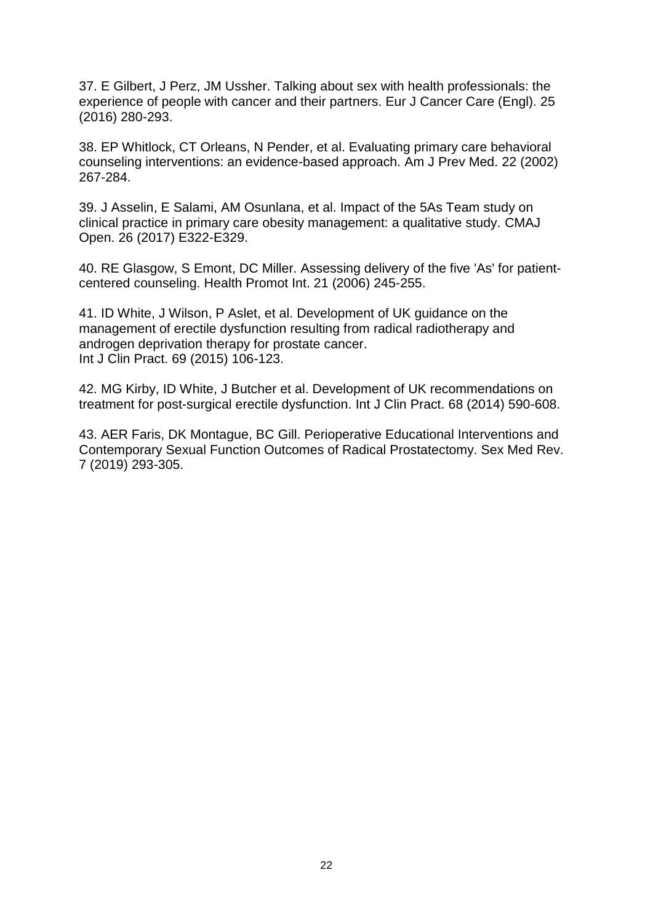37. E [Gilbert,](https://www.ncbi.nlm.nih.gov/pubmed/?term=Gilbert%20E%5BAuthor%5D&cauthor=true&cauthor_uid=25040442) J [Perz,](https://www.ncbi.nlm.nih.gov/pubmed/?term=Perz%20J%5BAuthor%5D&cauthor=true&cauthor_uid=25040442) JM [Ussher.](https://www.ncbi.nlm.nih.gov/pubmed/?term=Ussher%20JM%5BAuthor%5D&cauthor=true&cauthor_uid=25040442) Talking about sex with health professionals: the experience of people with cancer and their partners. [Eur J Cancer Care \(Engl\).](https://www.ncbi.nlm.nih.gov/pubmed/?term=Men+PWC+and+women+PPWC+were+most+likely+to+want+to+discuss+sexuality+with+a+HCP%2C+with+men+PWC+and+PPWC+reporting+highest+levels+of+satisfaction+with+such+discussions.+Open%E2%80%90ended+responses+revealed+dissatisfaction+with+the+unwillingness+of+HCPs+to+discuss+sexuality%2C+unhappiness+with+the+nature+of+such+discussion%2C+and+positive+accounts+of+discussions+about+sexuality+with+HCPs.+These+findings+lend+support+to+the+notion+that+people+with+cancer+and+their+partners+may+have+unmet+sexual+information+and+support+needs.) 25 (2016) 280-293.

38. EP [Whitlock,](https://www.ncbi.nlm.nih.gov/pubmed/?term=Whitlock%20EP%5BAuthor%5D&cauthor=true&cauthor_uid=11988383) CT [Orleans,](https://www.ncbi.nlm.nih.gov/pubmed/?term=Orleans%20CT%5BAuthor%5D&cauthor=true&cauthor_uid=11988383) N [Pender,](https://www.ncbi.nlm.nih.gov/pubmed/?term=Pender%20N%5BAuthor%5D&cauthor=true&cauthor_uid=11988383) et al. Evaluating primary care behavioral counseling interventions: an evidence-based approach. [Am J Prev Med.](https://www.ncbi.nlm.nih.gov/pubmed/11988383) 22 (2002) 267-284.

39. J [Asselin,](https://www.ncbi.nlm.nih.gov/pubmed/?term=Asselin%20J%5BAuthor%5D&cauthor=true&cauthor_uid=28450428) E [Salami,](https://www.ncbi.nlm.nih.gov/pubmed/?term=Salami%20E%5BAuthor%5D&cauthor=true&cauthor_uid=28450428) AM [Osunlana,](https://www.ncbi.nlm.nih.gov/pubmed/?term=Osunlana%20AM%5BAuthor%5D&cauthor=true&cauthor_uid=28450428) et al. Impact of the 5As Team study on clinical practice in primary care obesity management: a qualitative study. [CMAJ](https://www.ncbi.nlm.nih.gov/pubmed/28450428)  [Open.](https://www.ncbi.nlm.nih.gov/pubmed/28450428) 26 (2017) E322-E329.

40. RE [Glasgow,](https://www.ncbi.nlm.nih.gov/pubmed/?term=Glasgow%20RE%5BAuthor%5D&cauthor=true&cauthor_uid=16751630) S [Emont,](https://www.ncbi.nlm.nih.gov/pubmed/?term=Emont%20S%5BAuthor%5D&cauthor=true&cauthor_uid=16751630) DC [Miller.](https://www.ncbi.nlm.nih.gov/pubmed/?term=Miller%20DC%5BAuthor%5D&cauthor=true&cauthor_uid=16751630) Assessing delivery of the five 'As' for patientcentered counseling. [Health Promot Int.](https://www.ncbi.nlm.nih.gov/pubmed/?term=Assessing+delivery+of+the+five+%E2%80%98As%E2%80%99+for+patient-centered+counseling) 21 (2006) 245-255.

41. ID White, J Wilson, P Aslet, et al. Development of UK guidance on the management of erectile dysfunction resulting from radical radiotherapy and androgen deprivation therapy for prostate cancer. Int J Clin Pract. 69 (2015) 106-123.

42. MG [Kirby,](https://www.ncbi.nlm.nih.gov/pubmed/?term=Kirby%20MG%5BAuthor%5D&cauthor=true&cauthor_uid=24188207) ID [White,](https://www.ncbi.nlm.nih.gov/pubmed/?term=White%20ID%5BAuthor%5D&cauthor=true&cauthor_uid=24188207) J [Butcher](https://www.ncbi.nlm.nih.gov/pubmed/?term=Butcher%20J%5BAuthor%5D&cauthor=true&cauthor_uid=24188207) et al. Development of UK recommendations on treatment for post-surgical erectile dysfunction. [Int J Clin Pract.](https://www.ncbi.nlm.nih.gov/pubmed/24188207) 68 (2014) 590-608.

43. AER Faris, DK Montague, BC Gill. Perioperative Educational Interventions and Contemporary Sexual Function Outcomes of Radical Prostatectomy. Sex Med Rev. 7 (2019) 293-305.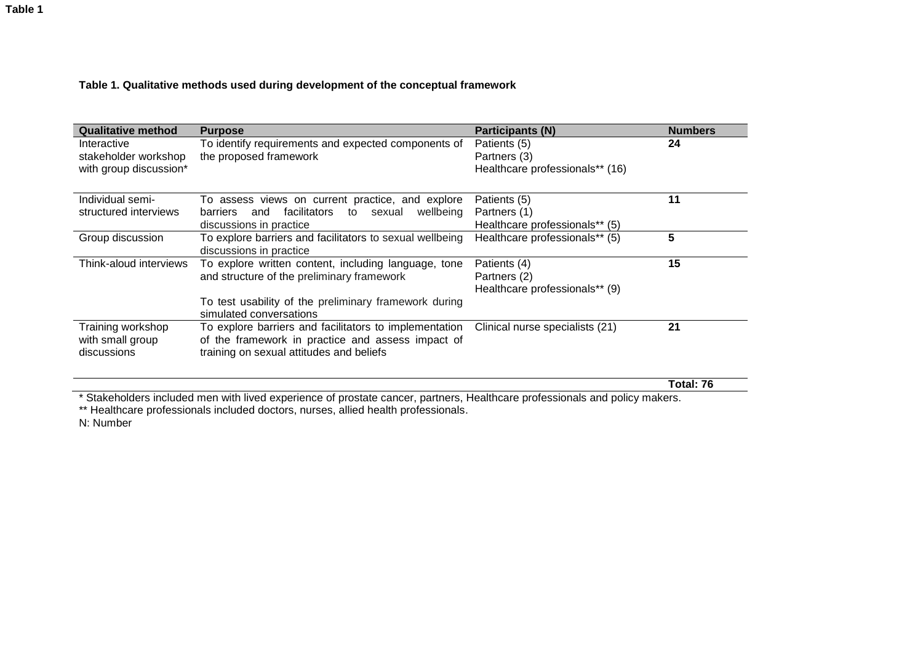**Table 1. Qualitative methods used during development of the conceptual framework**

| <b>Qualitative method</b> | <b>Purpose</b>                                                      | <b>Participants (N)</b>         | <b>Numbers</b> |
|---------------------------|---------------------------------------------------------------------|---------------------------------|----------------|
| Interactive               | To identify requirements and expected components of                 | Patients (5)                    | 24             |
| stakeholder workshop      | the proposed framework                                              | Partners (3)                    |                |
| with group discussion*    |                                                                     | Healthcare professionals** (16) |                |
|                           |                                                                     |                                 |                |
| Individual semi-          | To assess views on current practice, and explore                    | Patients (5)                    | 11             |
| structured interviews     | facilitators<br>wellbeing<br>and<br>to<br><b>barriers</b><br>sexual | Partners (1)                    |                |
|                           | discussions in practice                                             | Healthcare professionals** (5)  |                |
| Group discussion          | To explore barriers and facilitators to sexual wellbeing            | Healthcare professionals** (5)  | 5              |
|                           | discussions in practice                                             |                                 |                |
| Think-aloud interviews    | To explore written content, including language, tone                | Patients (4)                    | 15             |
|                           | and structure of the preliminary framework                          | Partners (2)                    |                |
|                           |                                                                     | Healthcare professionals** (9)  |                |
|                           | To test usability of the preliminary framework during               |                                 |                |
|                           | simulated conversations                                             |                                 |                |
| Training workshop         | To explore barriers and facilitators to implementation              | Clinical nurse specialists (21) | 21             |
| with small group          | of the framework in practice and assess impact of                   |                                 |                |
| discussions               | training on sexual attitudes and beliefs                            |                                 |                |
|                           |                                                                     |                                 |                |
|                           |                                                                     |                                 |                |

**Total: 76**

\* Stakeholders included men with lived experience of prostate cancer, partners, Healthcare professionals and policy makers.

\*\* Healthcare professionals included doctors, nurses, allied health professionals.

N: Number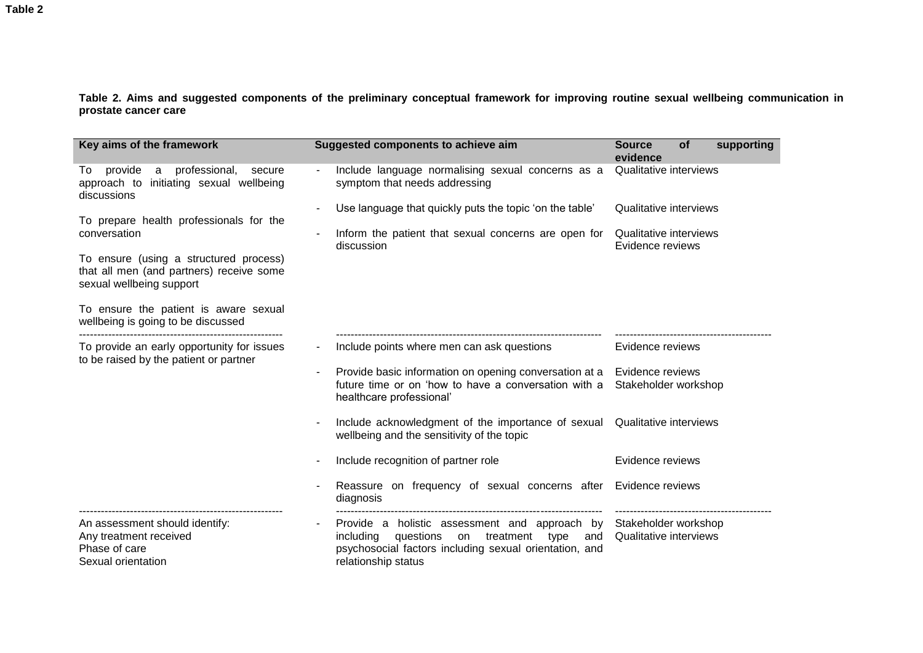**Table 2. Aims and suggested components of the preliminary conceptual framework for improving routine sexual wellbeing communication in prostate cancer care** 

| Key aims of the framework                                                                                      | Suggested components to achieve aim                                                                                                                                                     | of<br>supporting<br><b>Source</b><br>evidence  |
|----------------------------------------------------------------------------------------------------------------|-----------------------------------------------------------------------------------------------------------------------------------------------------------------------------------------|------------------------------------------------|
| a professional,<br>To provide<br>secure<br>initiating sexual wellbeing<br>approach to<br>discussions           | Include language normalising sexual concerns as a<br>symptom that needs addressing                                                                                                      | Qualitative interviews                         |
| To prepare health professionals for the                                                                        | Use language that quickly puts the topic 'on the table'                                                                                                                                 | Qualitative interviews                         |
| conversation                                                                                                   | Inform the patient that sexual concerns are open for Qualitative interviews<br>discussion                                                                                               | Evidence reviews                               |
| To ensure (using a structured process)<br>that all men (and partners) receive some<br>sexual wellbeing support |                                                                                                                                                                                         |                                                |
| To ensure the patient is aware sexual<br>wellbeing is going to be discussed                                    |                                                                                                                                                                                         |                                                |
| To provide an early opportunity for issues<br>to be raised by the patient or partner                           | Include points where men can ask questions<br>$\blacksquare$                                                                                                                            | Evidence reviews                               |
|                                                                                                                | Provide basic information on opening conversation at a<br>future time or on 'how to have a conversation with a<br>healthcare professional'                                              | Evidence reviews<br>Stakeholder workshop       |
|                                                                                                                | Include acknowledgment of the importance of sexual<br>$\overline{a}$<br>wellbeing and the sensitivity of the topic                                                                      | <b>Qualitative interviews</b>                  |
|                                                                                                                | Include recognition of partner role<br>$\overline{\phantom{a}}$                                                                                                                         | Evidence reviews                               |
|                                                                                                                | Reassure on frequency of sexual concerns after Evidence reviews<br>diagnosis                                                                                                            |                                                |
| An assessment should identify:<br>Any treatment received<br>Phase of care<br>Sexual orientation                | Provide a holistic assessment and approach by<br>questions<br>including<br>on treatment<br>type<br>and<br>psychosocial factors including sexual orientation, and<br>relationship status | Stakeholder workshop<br>Qualitative interviews |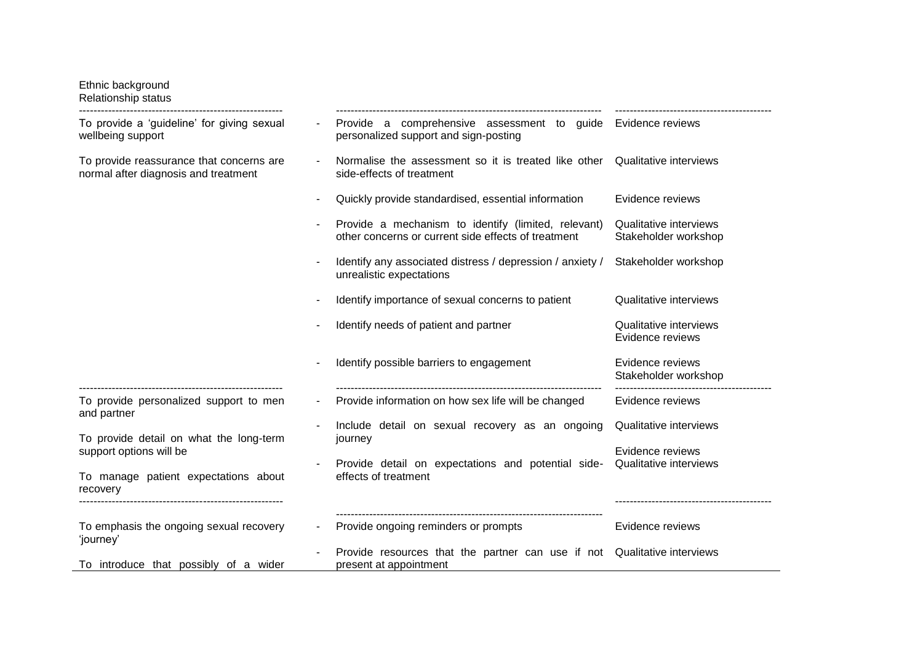| Ethnic background          |
|----------------------------|
| <b>Relationship status</b> |

| To provide a 'guideline' for giving sexual<br>wellbeing support                  | Provide a comprehensive assessment to guide Evidence reviews<br>personalized support and sign-posting      |                                                |
|----------------------------------------------------------------------------------|------------------------------------------------------------------------------------------------------------|------------------------------------------------|
| To provide reassurance that concerns are<br>normal after diagnosis and treatment | Normalise the assessment so it is treated like other Qualitative interviews<br>side-effects of treatment   |                                                |
|                                                                                  | Quickly provide standardised, essential information                                                        | Evidence reviews                               |
|                                                                                  | Provide a mechanism to identify (limited, relevant)<br>other concerns or current side effects of treatment | Qualitative interviews<br>Stakeholder workshop |
|                                                                                  | Identify any associated distress / depression / anxiety /<br>unrealistic expectations                      | Stakeholder workshop                           |
|                                                                                  | Identify importance of sexual concerns to patient                                                          | Qualitative interviews                         |
|                                                                                  | Identify needs of patient and partner                                                                      | Qualitative interviews<br>Evidence reviews     |
|                                                                                  | Identify possible barriers to engagement                                                                   | Evidence reviews<br>Stakeholder workshop       |
| To provide personalized support to men<br>and partner                            | Provide information on how sex life will be changed                                                        | Evidence reviews                               |
| To provide detail on what the long-term<br>support options will be               | Include detail on sexual recovery as an ongoing<br>journey                                                 | Qualitative interviews<br>Evidence reviews     |
| To manage patient expectations about<br>recovery                                 | Provide detail on expectations and potential side- Qualitative interviews<br>effects of treatment          |                                                |
| To emphasis the ongoing sexual recovery<br>'journey'                             | Provide ongoing reminders or prompts                                                                       | Evidence reviews                               |
| To introduce that possibly of a wider                                            | Provide resources that the partner can use if not Qualitative interviews<br>present at appointment         |                                                |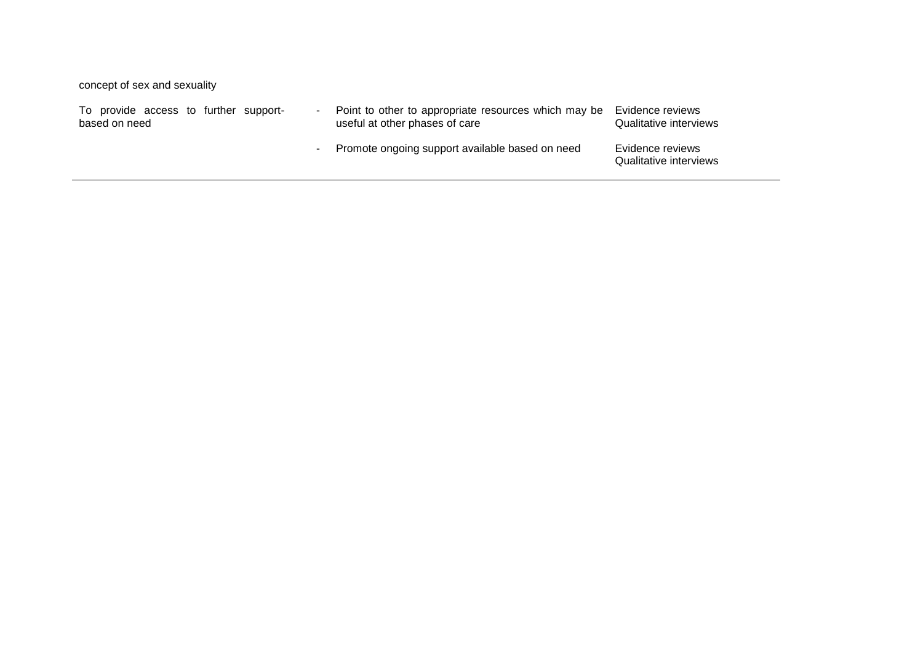| concept of sex and sexuality                           |                                                                                                                    |                                            |
|--------------------------------------------------------|--------------------------------------------------------------------------------------------------------------------|--------------------------------------------|
| To provide access to further support-<br>based on need | Point to other to appropriate resources which may be<br>$\overline{\phantom{a}}$<br>useful at other phases of care | Evidence reviews<br>Qualitative interviews |
|                                                        | Promote ongoing support available based on need                                                                    | Evidence reviews<br>Qualitative interviews |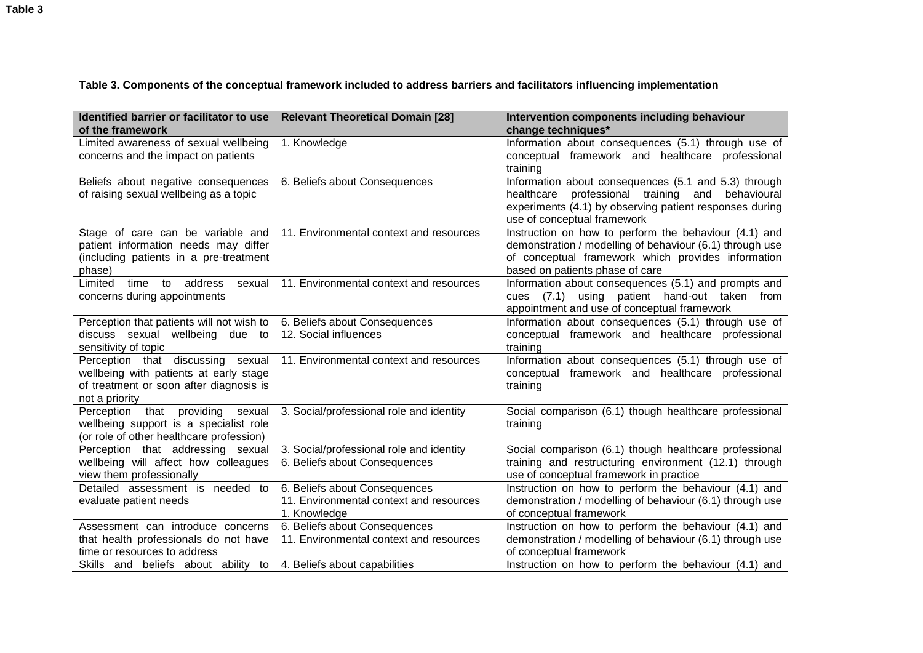**Table 3. Components of the conceptual framework included to address barriers and facilitators influencing implementation** 

| Identified barrier or facilitator to use                          | <b>Relevant Theoretical Domain [28]</b>  | Intervention components including behaviour              |
|-------------------------------------------------------------------|------------------------------------------|----------------------------------------------------------|
| of the framework                                                  |                                          | change techniques*                                       |
| Limited awareness of sexual wellbeing                             | 1. Knowledge                             | Information about consequences (5.1) through use of      |
| concerns and the impact on patients                               |                                          | conceptual framework and healthcare professional         |
|                                                                   |                                          | training                                                 |
| Beliefs about negative consequences                               | 6. Beliefs about Consequences            | Information about consequences (5.1 and 5.3) through     |
| of raising sexual wellbeing as a topic                            |                                          | professional training and<br>behavioural<br>healthcare   |
|                                                                   |                                          | experiments (4.1) by observing patient responses during  |
|                                                                   |                                          | use of conceptual framework                              |
| Stage of care can be variable and                                 | 11. Environmental context and resources  | Instruction on how to perform the behaviour (4.1) and    |
| patient information needs may differ                              |                                          | demonstration / modelling of behaviour (6.1) through use |
| (including patients in a pre-treatment                            |                                          | of conceptual framework which provides information       |
| phase)                                                            |                                          | based on patients phase of care                          |
| Limited<br>time<br>address<br>to<br>sexual                        | 11. Environmental context and resources  | Information about consequences (5.1) and prompts and     |
| concerns during appointments                                      |                                          | (7.1) using patient hand-out taken from<br>cues          |
|                                                                   |                                          | appointment and use of conceptual framework              |
| Perception that patients will not wish to                         | 6. Beliefs about Consequences            | Information about consequences (5.1) through use of      |
| discuss sexual wellbeing due to                                   | 12. Social influences                    | conceptual framework and healthcare professional         |
| sensitivity of topic                                              |                                          | training                                                 |
| Perception that discussing sexual                                 | 11. Environmental context and resources  | Information about consequences (5.1) through use of      |
| wellbeing with patients at early stage                            |                                          | conceptual framework and healthcare professional         |
| of treatment or soon after diagnosis is                           |                                          | training                                                 |
| not a priority                                                    |                                          |                                                          |
| that<br>providing<br>Perception<br>sexual                         | 3. Social/professional role and identity | Social comparison (6.1) though healthcare professional   |
| wellbeing support is a specialist role                            |                                          | training                                                 |
| (or role of other healthcare profession)                          |                                          |                                                          |
| Perception that addressing sexual                                 | 3. Social/professional role and identity | Social comparison (6.1) though healthcare professional   |
| wellbeing will affect how colleagues                              | 6. Beliefs about Consequences            | training and restructuring environment (12.1) through    |
| view them professionally                                          |                                          | use of conceptual framework in practice                  |
| Detailed assessment is needed to                                  | 6. Beliefs about Consequences            | Instruction on how to perform the behaviour (4.1) and    |
| evaluate patient needs                                            | 11. Environmental context and resources  | demonstration / modelling of behaviour (6.1) through use |
|                                                                   | 1. Knowledge                             | of conceptual framework                                  |
| Assessment can introduce concerns                                 | 6. Beliefs about Consequences            | Instruction on how to perform the behaviour (4.1) and    |
| that health professionals do not have                             | 11. Environmental context and resources  | demonstration / modelling of behaviour (6.1) through use |
| time or resources to address                                      |                                          | of conceptual framework                                  |
| Skills and beliefs about ability to 4. Beliefs about capabilities |                                          | Instruction on how to perform the behaviour (4.1) and    |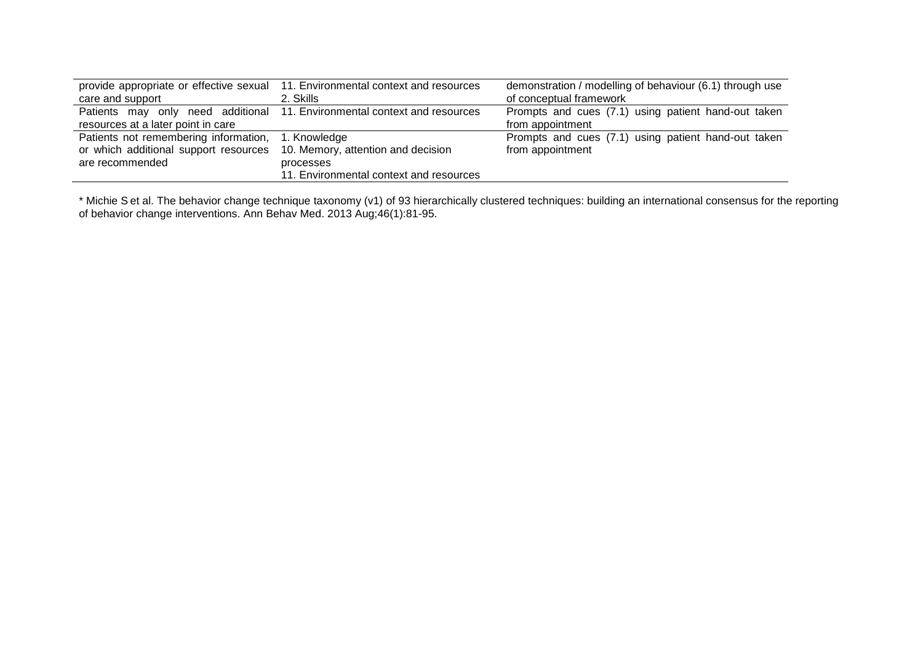|                                                                          | provide appropriate or effective sexual 11. Environmental context and resources | demonstration / modelling of behaviour (6.1) through use |
|--------------------------------------------------------------------------|---------------------------------------------------------------------------------|----------------------------------------------------------|
| care and support                                                         | 2. Skills                                                                       | of conceptual framework                                  |
|                                                                          | Patients may only need additional 11. Environmental context and resources       | Prompts and cues (7.1) using patient hand-out taken      |
| resources at a later point in care                                       |                                                                                 | from appointment                                         |
| Patients not remembering information, 1. Knowledge                       |                                                                                 | Prompts and cues (7.1) using patient hand-out taken      |
| or which additional support resources 10. Memory, attention and decision |                                                                                 | from appointment                                         |
| are recommended                                                          | processes                                                                       |                                                          |
|                                                                          | 11. Environmental context and resources                                         |                                                          |

\* Michie S et al. The behavior change technique taxonomy (v1) of 93 hierarchically clustered techniques: building an international consensus for the reporting of behavior change interventions. Ann Behav Med. 2013 Aug;46(1):81-95.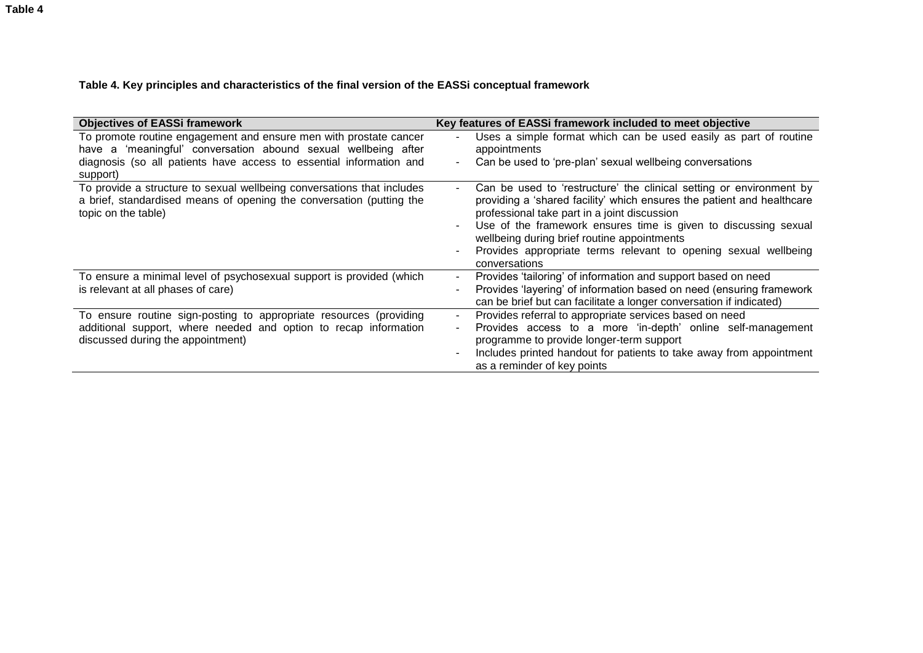# **Table 4. Key principles and characteristics of the final version of the EASSi conceptual framework**

| <b>Objectives of EASSi framework</b>                                                                                                                                                                                   | Key features of EASSi framework included to meet objective                                                                                                                                                                                                                                                                                                                                                                                        |  |  |
|------------------------------------------------------------------------------------------------------------------------------------------------------------------------------------------------------------------------|---------------------------------------------------------------------------------------------------------------------------------------------------------------------------------------------------------------------------------------------------------------------------------------------------------------------------------------------------------------------------------------------------------------------------------------------------|--|--|
| To promote routine engagement and ensure men with prostate cancer<br>have a 'meaningful' conversation abound sexual wellbeing after<br>diagnosis (so all patients have access to essential information and<br>support) | Uses a simple format which can be used easily as part of routine<br>$\blacksquare$<br>appointments<br>Can be used to 'pre-plan' sexual wellbeing conversations<br>$\blacksquare$                                                                                                                                                                                                                                                                  |  |  |
| To provide a structure to sexual wellbeing conversations that includes<br>a brief, standardised means of opening the conversation (putting the<br>topic on the table)                                                  | Can be used to 'restructure' the clinical setting or environment by<br>$\blacksquare$<br>providing a 'shared facility' which ensures the patient and healthcare<br>professional take part in a joint discussion<br>Use of the framework ensures time is given to discussing sexual<br>$\overline{\phantom{a}}$<br>wellbeing during brief routine appointments<br>Provides appropriate terms relevant to opening sexual wellbeing<br>conversations |  |  |
| To ensure a minimal level of psychosexual support is provided (which<br>is relevant at all phases of care)                                                                                                             | Provides 'tailoring' of information and support based on need<br>$\overline{a}$<br>Provides 'layering' of information based on need (ensuring framework<br>$\blacksquare$<br>can be brief but can facilitate a longer conversation if indicated)                                                                                                                                                                                                  |  |  |
| To ensure routine sign-posting to appropriate resources (providing<br>additional support, where needed and option to recap information<br>discussed during the appointment)                                            | Provides referral to appropriate services based on need<br>$\blacksquare$<br>Provides access to a more 'in-depth' online self-management<br>programme to provide longer-term support<br>Includes printed handout for patients to take away from appointment<br>as a reminder of key points                                                                                                                                                        |  |  |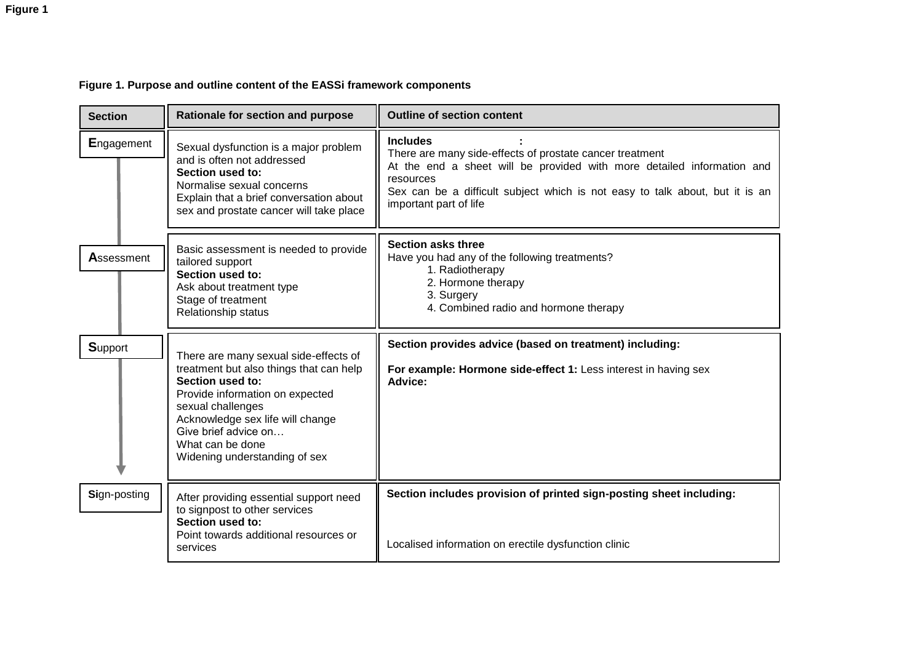| ıaur |  |
|------|--|
|------|--|

#### **Section**  Rationale for section and purpose **Section of section content E**ngagement **A**ssessment **S**upport **Si**gn-posting Sexual dysfunction is a major problem and is often not addressed **Section used to:**  Normalise sexual concerns Explain that a brief conversation about sex and prostate cancer will take place **Includes** There are many side-effects of prostate cancer treatment At the end a sheet will be provided with more detailed information and resources Sex can be a difficult subject which is not easy to talk about, but it is an important part of life Basic assessment is needed to provide tailored support **Section used to:**  Ask about treatment type Stage of treatment Relationship status **Section asks three** Have you had any of the following treatments? 1. Radiotherapy 2. Hormone therapy 3. Surgery 4. Combined radio and hormone therapy There are many sexual side-effects of treatment but also things that can help **Section used to:**  Provide information on expected sexual challenges Acknowledge sex life will change Give brief advice on… What can be done Widening understanding of sex **Section provides advice (based on treatment) including: For example: Hormone side-effect 1:** Less interest in having sex **Advice:**  After providing essential support need to signpost to other services **Section used to:**  Point towards additional resources or **Section includes provision of printed sign-posting sheet including:** Localised information on erectile dysfunction clinic

#### **Figure 1. Purpose and outline content of the EASSi framework components**

services